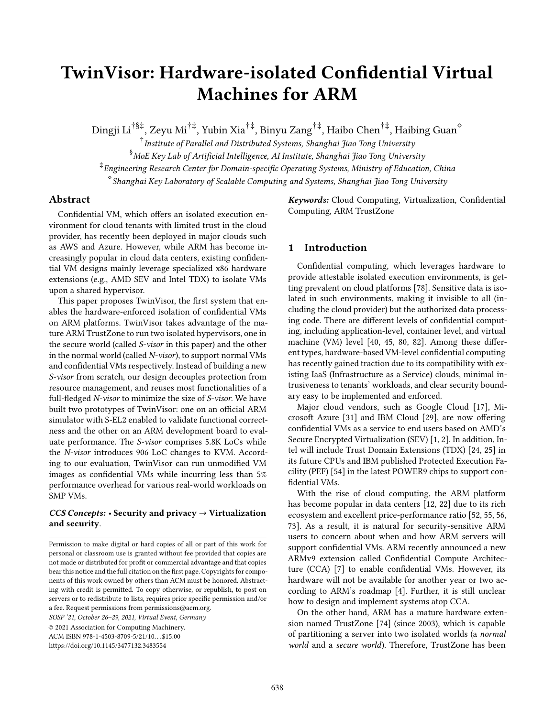# TwinVisor: Hardware-isolated Confidential Virtual Machines for ARM

Dingji Li†§‡, Zeyu Mi†‡, Yubin Xia†‡, Binyu Zang†‡, Haibo Chen†‡, Haibing Guan<sup>⋄</sup>

 $^\dagger$ Institute of Parallel and Distributed Systems, Shanghai Jiao Tong University  $^\S$ MoE Key Lab of Artificial Intelligence, AI Institute, Shanghai Jiao Tong University ‡ Engineering Research Center for Domain-specific Operating Systems, Ministry of Education, China ⋄ Shanghai Key Laboratory of Scalable Computing and Systems, Shanghai Jiao Tong University

# Abstract

Confidential VM, which offers an isolated execution environment for cloud tenants with limited trust in the cloud provider, has recently been deployed in major clouds such as AWS and Azure. However, while ARM has become increasingly popular in cloud data centers, existing confidential VM designs mainly leverage specialized x86 hardware extensions (e.g., AMD SEV and Intel TDX) to isolate VMs upon a shared hypervisor.

This paper proposes TwinVisor, the first system that enables the hardware-enforced isolation of confidential VMs on ARM platforms. TwinVisor takes advantage of the mature ARM TrustZone to run two isolated hypervisors, one in the secure world (called S-visor in this paper) and the other in the normal world (called N-visor), to support normal VMs and confidential VMs respectively. Instead of building a new S-visor from scratch, our design decouples protection from resource management, and reuses most functionalities of a full-fledged N-visor to minimize the size of S-visor. We have built two prototypes of TwinVisor: one on an official ARM simulator with S-EL2 enabled to validate functional correctness and the other on an ARM development board to evaluate performance. The S-visor comprises 5.8K LoCs while the N-visor introduces 906 LoC changes to KVM. According to our evaluation, TwinVisor can run unmodified VM images as confidential VMs while incurring less than 5% performance overhead for various real-world workloads on SMP VMs.

# $CCS$  Concepts: • Security and privacy  $\rightarrow$  Virtualization and security.

SOSP '21, October 26–29, 2021, Virtual Event, Germany

© 2021 Association for Computing Machinery. ACM ISBN 978-1-4503-8709-5/21/10...\$15.00 <https://doi.org/10.1145/3477132.3483554>

Keywords: Cloud Computing, Virtualization, Confidential Computing, ARM TrustZone

# 1 Introduction

Confidential computing, which leverages hardware to provide attestable isolated execution environments, is getting prevalent on cloud platforms [\[78](#page-16-0)]. Sensitive data is isolated in such environments, making it invisible to all (including the cloud provider) but the authorized data processing code. There are different levels of confidential computing, including application-level, container level, and virtual machine (VM) level [\[40,](#page-14-0) [45](#page-15-0), [80](#page-16-1), [82\]](#page-16-2). Among these different types, hardware-based VM-level confidential computing has recently gained traction due to its compatibility with existing IaaS (Infrastructure as a Service) clouds, minimal intrusiveness to tenants' workloads, and clear security boundary easy to be implemented and enforced.

Major cloud vendors, such as Google Cloud [\[17\]](#page-14-1), Microsoft Azure [\[31\]](#page-14-2) and IBM Cloud [\[29\]](#page-14-3), are now offering confidential VMs as a service to end users based on AMD's Secure Encrypted Virtualization (SEV) [\[1,](#page-14-4) [2\]](#page-14-5). In addition, Intel will include Trust Domain Extensions (TDX) [\[24](#page-14-6), [25\]](#page-14-7) in its future CPUs and IBM published Protected Execution Facility (PEF) [\[54\]](#page-15-1) in the latest POWER9 chips to support confidential VMs.

With the rise of cloud computing, the ARM platform has become popular in data centers [\[12,](#page-14-8) [22\]](#page-14-9) due to its rich ecosystem and excellent price-performance ratio [\[52,](#page-15-2) [55](#page-15-3), [56,](#page-15-4) [73](#page-16-3)]. As a result, it is natural for security-sensitive ARM users to concern about when and how ARM servers will support confidential VMs. ARM recently announced a new ARMv9 extension called Confidential Compute Architecture (CCA) [\[7\]](#page-14-10) to enable confidential VMs. However, its hardware will not be available for another year or two according to ARM's roadmap [\[4\]](#page-14-11). Further, it is still unclear how to design and implement systems atop CCA.

On the other hand, ARM has a mature hardware extension named TrustZone [\[74\]](#page-16-4) (since 2003), which is capable of partitioning a server into two isolated worlds (a normal world and a secure world). Therefore, TrustZone has been

Permission to make digital or hard copies of all or part of this work for personal or classroom use is granted without fee provided that copies are not made or distributed for profit or commercial advantage and that copies bear this notice and the full citation on the first page. Copyrights for components of this work owned by others than ACM must be honored. Abstracting with credit is permitted. To copy otherwise, or republish, to post on servers or to redistribute to lists, requires prior specific permission and/or a fee. Request permissions from permissions@acm.org.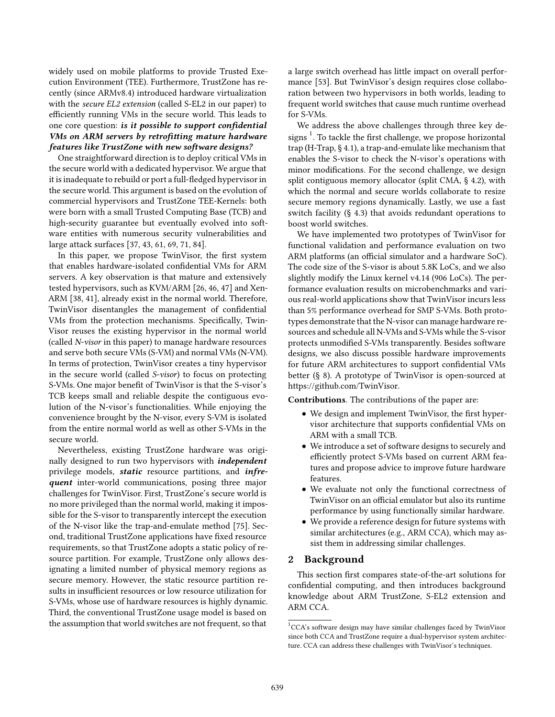widely used on mobile platforms to provide Trusted Execution Environment (TEE). Furthermore, TrustZone has recently (since ARMv8.4) introduced hardware virtualization with the secure EL2 extension (called S-EL2 in our paper) to efficiently running VMs in the secure world. This leads to one core question: is it possible to support confidential VMs on ARM servers by retrofitting mature hardware  $features$  like TrustZone with new software designs?

One straightforward direction is to deploy critical VMs in the secure world with a dedicated hypervisor. We argue that it is inadequate to rebuild or port a full-fledged hypervisor in the secure world. This argument is based on the evolution of commercial hypervisors and TrustZone TEE-Kernels: both were born with a small Trusted Computing Base (TCB) and high-security guarantee but eventually evolved into software entities with numerous security vulnerabilities and large attack surfaces [\[37](#page-14-12), [43](#page-15-5), [61](#page-15-6), [69](#page-15-7), [71](#page-16-5), [84](#page-16-6)].

In this paper, we propose TwinVisor, the first system that enables hardware-isolated confidential VMs for ARM servers. A key observation is that mature and extensively tested hypervisors, such as KVM/ARM [\[26,](#page-14-13) [46](#page-15-8), [47](#page-15-9)] and Xen-ARM [\[38,](#page-14-14) [41\]](#page-14-15), already exist in the normal world. Therefore, TwinVisor disentangles the management of confidential VMs from the protection mechanisms. Specifically, Twin-Visor reuses the existing hypervisor in the normal world (called N-visor in this paper) to manage hardware resources and serve both secure VMs (S-VM) and normal VMs (N-VM). In terms of protection, TwinVisor creates a tiny hypervisor in the secure world (called S-visor) to focus on protecting S-VMs. One major benefit of TwinVisor is that the S-visor's TCB keeps small and reliable despite the contiguous evolution of the N-visor's functionalities. While enjoying the convenience brought by the N-visor, every S-VM is isolated from the entire normal world as well as other S-VMs in the secure world.

Nevertheless, existing TrustZone hardware was originally designed to run two hypervisors with *independent* privilege models, static resource partitions, and infrequent inter-world communications, posing three major challenges for TwinVisor. First, TrustZone's secure world is no more privileged than the normal world, making it impossible for the S-visor to transparently intercept the execution of the N-visor like the trap-and-emulate method [\[75\]](#page-16-7). Second, traditional TrustZone applications have fixed resource requirements, so that TrustZone adopts a static policy of resource partition. For example, TrustZone only allows designating a limited number of physical memory regions as secure memory. However, the static resource partition results in insufficient resources or low resource utilization for S-VMs, whose use of hardware resources is highly dynamic. Third, the conventional TrustZone usage model is based on the assumption that world switches are not frequent, so that

a large switch overhead has little impact on overall performance [\[53](#page-15-10)]. But TwinVisor's design requires close collaboration between two hypervisors in both worlds, leading to frequent world switches that cause much runtime overhead for S-VMs.

We address the above challenges through three key designs  $^1$  $^1$ . To tackle the first challenge, we propose horizontal trap (H-Trap, § [4.1\)](#page-4-0), a trap-and-emulate like mechanism that enables the S-visor to check the N-visor's operations with minor modifications. For the second challenge, we design split contiguous memory allocator (split CMA, § [4.2\)](#page-5-0), with which the normal and secure worlds collaborate to resize secure memory regions dynamically. Lastly, we use a fast switch facility (§ [4.3\)](#page-7-0) that avoids redundant operations to boost world switches.

We have implemented two prototypes of TwinVisor for functional validation and performance evaluation on two ARM platforms (an official simulator and a hardware SoC). The code size of the S-visor is about 5.8K LoCs, and we also slightly modify the Linux kernel v4.14 (906 LoCs). The performance evaluation results on microbenchmarks and various real-world applications show that TwinVisor incurs less than 5% performance overhead for SMP S-VMs. Both prototypes demonstrate that the N-visor can manage hardware resources and schedule all N-VMs and S-VMs while the S-visor protects unmodified S-VMs transparently. Besides software designs, we also discuss possible hardware improvements for future ARM architectures to support confidential VMs better (§ [8\)](#page-12-0). A prototype of TwinVisor is open-sourced at [https://github.com/TwinVisor.](https://github.com/TwinVisor)

Contributions. The contributions of the paper are:

- We design and implement TwinVisor, the first hypervisor architecture that supports confidential VMs on ARM with a small TCB.
- We introduce a set of software designs to securely and efficiently protect S-VMs based on current ARM features and propose advice to improve future hardware features.
- We evaluate not only the functional correctness of TwinVisor on an official emulator but also its runtime performance by using functionally similar hardware.
- We provide a reference design for future systems with similar architectures (e.g., ARM CCA), which may assist them in addressing similar challenges.

# 2 Background

This section first compares state-of-the-art solutions for confidential computing, and then introduces background knowledge about ARM TrustZone, S-EL2 extension and ARM CCA.

<span id="page-1-1"></span><span id="page-1-0"></span><sup>&</sup>lt;sup>1</sup>CCA's software design may have similar challenges faced by TwinVisor since both CCA and TrustZone require a dual-hypervisor system architecture. CCA can address these challenges with TwinVisor's techniques.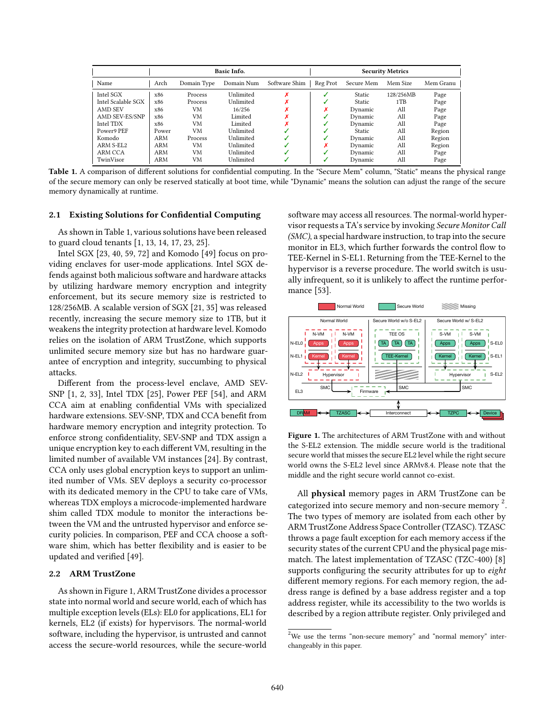<span id="page-2-0"></span>

|                    | <b>Basic Info.</b> |             |            |               | <b>Security Metrics</b> |               |           |           |
|--------------------|--------------------|-------------|------------|---------------|-------------------------|---------------|-----------|-----------|
| Name               | Arch               | Domain Type | Domain Num | Software Shim | Reg Prot                | Secure Mem    | Mem Size  | Mem Granu |
| Intel SGX          | x86                | Process     | Unlimited  |               |                         | <b>Static</b> | 128/256MB | Page      |
| Intel Scalable SGX | x86                | Process     | Unlimited  |               |                         | Static        | 1TB       | Page      |
| AMD SEV            | x86                | VM          | 16/256     |               |                         | Dynamic       | All       | Page      |
| AMD SEV-ES/SNP     | x86                | VM          | Limited    |               |                         | Dynamic       | All       | Page      |
| Intel TDX          | x86                | VM          | Limited    |               |                         | Dynamic       | All       | Page      |
| Power9 PEF         | Power              | VM          | Unlimited  |               |                         | Static        | All       | Region    |
| Komodo             | <b>ARM</b>         | Process     | Unlimited  |               |                         | Dynamic       | All       | Region    |
| ARM S-EL2          | ARM                | VM          | Unlimited  |               |                         | Dynamic       | All       | Region    |
| ARM CCA            | ARM                | VM          | Unlimited  |               |                         | Dynamic       | All       | Page      |
| TwinVisor          | ARM                | VM          | Unlimited  |               |                         | Dynamic       | All       | Page      |

Table 1. A comparison of different solutions for confidential computing. In the "Secure Mem" column, "Static" means the physical range of the secure memory can only be reserved statically at boot time, while "Dynamic" means the solution can adjust the range of the secure memory dynamically at runtime.

## 2.1 Existing Solutions for Confidential Computing

As shown in Table [1,](#page-2-0) various solutions have been released to guard cloud tenants [\[1](#page-14-4), [13,](#page-14-16) [14,](#page-14-17) [17,](#page-14-1) [23,](#page-14-18) [25\]](#page-14-7).

Intel SGX [\[23,](#page-14-18) [40](#page-14-0), [59](#page-15-11), [72](#page-16-8)] and Komodo [\[49\]](#page-15-12) focus on providing enclaves for user-mode applications. Intel SGX defends against both malicious software and hardware attacks by utilizing hardware memory encryption and integrity enforcement, but its secure memory size is restricted to 128/256MB. A scalable version of SGX [\[21](#page-14-19), [35\]](#page-14-20) was released recently, increasing the secure memory size to 1TB, but it weakens the integrity protection at hardware level. Komodo relies on the isolation of ARM TrustZone, which supports unlimited secure memory size but has no hardware guarantee of encryption and integrity, succumbing to physical attacks.

Different from the process-level enclave, AMD SEV-SNP [\[1,](#page-14-4) [2](#page-14-5), [33\]](#page-14-21), Intel TDX [\[25\]](#page-14-7), Power PEF [\[54](#page-15-1)], and ARM CCA aim at enabling confidential VMs with specialized hardware extensions. SEV-SNP, TDX and CCA benefit from hardware memory encryption and integrity protection. To enforce strong confidentiality, SEV-SNP and TDX assign a unique encryption key to each different VM, resulting in the limited number of available VM instances [\[24](#page-14-6)]. By contrast, CCA only uses global encryption keys to support an unlimited number of VMs. SEV deploys a security co-processor with its dedicated memory in the CPU to take care of VMs, whereas TDX employs a microcode-implemented hardware shim called TDX module to monitor the interactions between the VM and the untrusted hypervisor and enforce security policies. In comparison, PEF and CCA choose a software shim, which has better flexibility and is easier to be updated and verified [\[49\]](#page-15-12).

## 2.2 ARM TrustZone

As shown in Figure [1,](#page-2-1) ARM TrustZone divides a processor state into normal world and secure world, each of which has multiple exception levels (ELs): EL0 for applications, EL1 for kernels, EL2 (if exists) for hypervisors. The normal-world software, including the hypervisor, is untrusted and cannot access the secure-world resources, while the secure-world

software may access all resources. The normal-world hypervisor requests a TA's service by invoking Secure Monitor Call (SMC), a special hardware instruction, to trap into the secure monitor in EL3, which further forwards the control flow to TEE-Kernel in S-EL1. Returning from the TEE-Kernel to the hypervisor is a reverse procedure. The world switch is usually infrequent, so it is unlikely to affect the runtime performance [\[53\]](#page-15-10).

<span id="page-2-1"></span>

Figure 1. The architectures of ARM TrustZone with and without the S-EL2 extension. The middle secure world is the traditional secure world that misses the secure EL2 level while the right secure world owns the S-EL2 level since ARMv8.4. Please note that the middle and the right secure world cannot co-exist.

All physical memory pages in ARM TrustZone can be categorized into secure memory and non-secure memory<sup>[2](#page-2-2)</sup>. The two types of memory are isolated from each other by ARM TrustZone Address Space Controller (TZASC). TZASC throws a page fault exception for each memory access if the security states of the current CPU and the physical page mismatch. The latest implementation of TZASC (TZC-400) [\[8](#page-14-22)] supports configuring the security attributes for up to *eight* different memory regions. For each memory region, the address range is defined by a base address register and a top address register, while its accessibility to the two worlds is described by a region attribute register. Only privileged and

<span id="page-2-2"></span> $2$ We use the terms "non-secure memory" and "normal memory" interchangeably in this paper.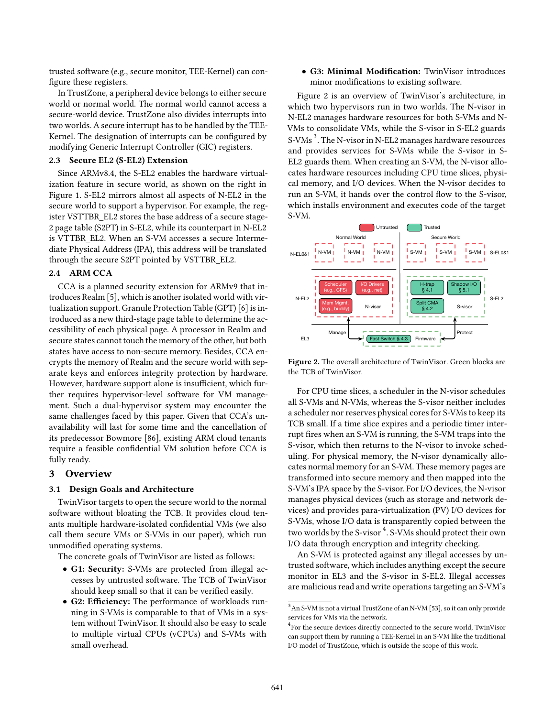trusted software (e.g., secure monitor, TEE-Kernel) can configure these registers.

In TrustZone, a peripheral device belongs to either secure world or normal world. The normal world cannot access a secure-world device. TrustZone also divides interrupts into two worlds. A secure interrupt has to be handled by the TEE-Kernel. The designation of interrupts can be configured by modifying Generic Interrupt Controller (GIC) registers.

# 2.3 Secure EL2 (S-EL2) Extension

Since ARMv8.4, the S-EL2 enables the hardware virtualization feature in secure world, as shown on the right in Figure [1.](#page-2-1) S-EL2 mirrors almost all aspects of N-EL2 in the secure world to support a hypervisor. For example, the register VSTTBR\_EL2 stores the base address of a secure stage-2 page table (S2PT) in S-EL2, while its counterpart in N-EL2 is VTTBR\_EL2. When an S-VM accesses a secure Intermediate Physical Address (IPA), this address will be translated through the secure S2PT pointed by VSTTBR\_EL2.

# 2.4 ARM CCA

CCA is a planned security extension for ARMv9 that introduces Realm [\[5\]](#page-14-23), which is another isolated world with virtualization support. Granule Protection Table (GPT) [\[6\]](#page-14-24) is introduced as a new third-stage page table to determine the accessibility of each physical page. A processor in Realm and secure states cannot touch the memory of the other, but both states have access to non-secure memory. Besides, CCA encrypts the memory of Realm and the secure world with separate keys and enforces integrity protection by hardware. However, hardware support alone is insufficient, which further requires hypervisor-level software for VM management. Such a dual-hypervisor system may encounter the same challenges faced by this paper. Given that CCA's unavailability will last for some time and the cancellation of its predecessor Bowmore [\[86](#page-16-9)], existing ARM cloud tenants require a feasible confidential VM solution before CCA is fully ready.

# 3 Overview

#### 3.1 Design Goals and Architecture

TwinVisor targets to open the secure world to the normal software without bloating the TCB. It provides cloud tenants multiple hardware-isolated confidential VMs (we also call them secure VMs or S-VMs in our paper), which run unmodified operating systems.

The concrete goals of TwinVisor are listed as follows:

- G1: Security: S-VMs are protected from illegal accesses by untrusted software. The TCB of TwinVisor should keep small so that it can be verified easily.
- G2: Efficiency: The performance of workloads running in S-VMs is comparable to that of VMs in a system without TwinVisor. It should also be easy to scale to multiple virtual CPUs (vCPUs) and S-VMs with small overhead.

• G3: Minimal Modification: TwinVisor introduces minor modifications to existing software.

Figure [2](#page-3-0) is an overview of TwinVisor's architecture, in which two hypervisors run in two worlds. The N-visor in N-EL2 manages hardware resources for both S-VMs and N-VMs to consolidate VMs, while the S-visor in S-EL2 guards S-VMs<sup>[3](#page-3-1)</sup>. The N-visor in N-EL2 manages hardware resources and provides services for S-VMs while the S-visor in S-EL2 guards them. When creating an S-VM, the N-visor allocates hardware resources including CPU time slices, physical memory, and I/O devices. When the N-visor decides to run an S-VM, it hands over the control flow to the S-visor, which installs environment and executes code of the target S-VM.

<span id="page-3-0"></span>

Figure 2. The overall architecture of TwinVisor. Green blocks are the TCB of TwinVisor.

For CPU time slices, a scheduler in the N-visor schedules all S-VMs and N-VMs, whereas the S-visor neither includes a scheduler nor reserves physical cores for S-VMs to keep its TCB small. If a time slice expires and a periodic timer interrupt fires when an S-VM is running, the S-VM traps into the S-visor, which then returns to the N-visor to invoke scheduling. For physical memory, the N-visor dynamically allocates normal memory for an S-VM. These memory pages are transformed into secure memory and then mapped into the S-VM's IPA space by the S-visor. For I/O devices, the N-visor manages physical devices (such as storage and network devices) and provides para-virtualization (PV) I/O devices for S-VMs, whose I/O data is transparently copied between the two worlds by the S-visor  $\mathrm{^{4}}$  $\mathrm{^{4}}$  $\mathrm{^{4}}$ . S-VMs should protect their own I/O data through encryption and integrity checking.

An S-VM is protected against any illegal accesses by untrusted software, which includes anything except the secure monitor in EL3 and the S-visor in S-EL2. Illegal accesses are malicious read and write operations targeting an S-VM's

<span id="page-3-1"></span> $^3{\rm An}$  S-VM is not a virtual TrustZone of an N-VM [\[53\]](#page-15-10), so it can only provide services for VMs via the network.

<span id="page-3-2"></span><sup>4</sup> For the secure devices directly connected to the secure world, TwinVisor can support them by running a TEE-Kernel in an S-VM like the traditional I/O model of TrustZone, which is outside the scope of this work.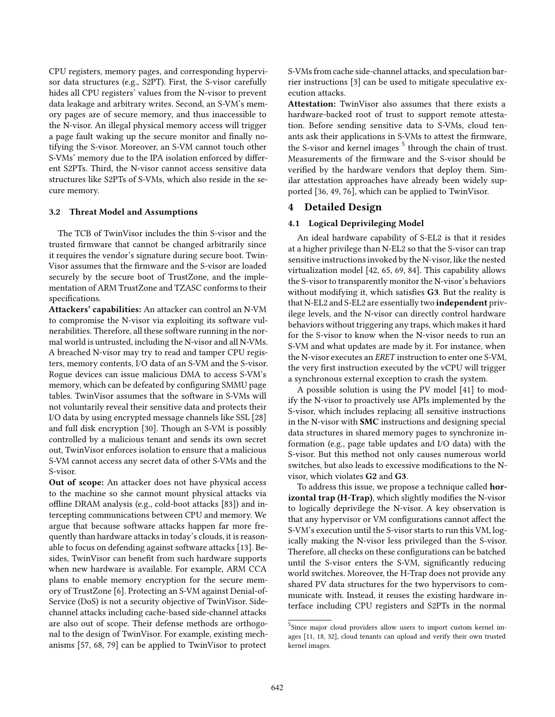CPU registers, memory pages, and corresponding hypervisor data structures (e.g., S2PT). First, the S-visor carefully hides all CPU registers' values from the N-visor to prevent data leakage and arbitrary writes. Second, an S-VM's memory pages are of secure memory, and thus inaccessible to the N-visor. An illegal physical memory access will trigger a page fault waking up the secure monitor and finally notifying the S-visor. Moreover, an S-VM cannot touch other S-VMs' memory due to the IPA isolation enforced by different S2PTs. Third, the N-visor cannot access sensitive data structures like S2PTs of S-VMs, which also reside in the secure memory.

#### 3.2 Threat Model and Assumptions

The TCB of TwinVisor includes the thin S-visor and the trusted firmware that cannot be changed arbitrarily since it requires the vendor's signature during secure boot. Twin-Visor assumes that the firmware and the S-visor are loaded securely by the secure boot of TrustZone, and the implementation of ARM TrustZone and TZASC conforms to their specifications.

Attackers' capabilities: An attacker can control an N-VM to compromise the N-visor via exploiting its software vulnerabilities. Therefore, all these software running in the normal world is untrusted, including the N-visor and all N-VMs. A breached N-visor may try to read and tamper CPU registers, memory contents, I/O data of an S-VM and the S-visor. Rogue devices can issue malicious DMA to access S-VM's memory, which can be defeated by configuring SMMU page tables. TwinVisor assumes that the software in S-VMs will not voluntarily reveal their sensitive data and protects their I/O data by using encrypted message channels like SSL [\[28](#page-14-25)] and full disk encryption [\[30\]](#page-14-26). Though an S-VM is possibly controlled by a malicious tenant and sends its own secret out, TwinVisor enforces isolation to ensure that a malicious S-VM cannot access any secret data of other S-VMs and the S-visor.

Out of scope: An attacker does not have physical access to the machine so she cannot mount physical attacks via offline DRAM analysis (e.g., cold-boot attacks [\[83\]](#page-16-10)) and intercepting communications between CPU and memory. We argue that because software attacks happen far more frequently than hardware attacks in today's clouds, it is reasonable to focus on defending against software attacks [\[13](#page-14-16)]. Besides, TwinVisor can benefit from such hardware supports when new hardware is available. For example, ARM CCA plans to enable memory encryption for the secure memory of TrustZone [\[6\]](#page-14-24). Protecting an S-VM against Denial-of-Service (DoS) is not a security objective of TwinVisor. Sidechannel attacks including cache-based side-channel attacks are also out of scope. Their defense methods are orthogonal to the design of TwinVisor. For example, existing mechanisms [\[57](#page-15-13), [68,](#page-15-14) [79](#page-16-11)] can be applied to TwinVisor to protect

S-VMs from cache side-channel attacks, and speculation barrier instructions [\[3\]](#page-14-27) can be used to mitigate speculative execution attacks.

Attestation: TwinVisor also assumes that there exists a hardware-backed root of trust to support remote attestation. Before sending sensitive data to S-VMs, cloud tenants ask their applications in S-VMs to attest the firmware, the S-visor and kernel images <sup>[5](#page-4-1)</sup> through the chain of trust. Measurements of the firmware and the S-visor should be verified by the hardware vendors that deploy them. Similar attestation approaches have already been widely supported [\[36,](#page-14-28) [49,](#page-15-12) [76\]](#page-16-12), which can be applied to TwinVisor.

# <span id="page-4-0"></span>4 Detailed Design

## 4.1 Logical Deprivileging Model

An ideal hardware capability of S-EL2 is that it resides at a higher privilege than N-EL2 so that the S-visor can trap sensitive instructions invoked by the N-visor, like the nested virtualization model [\[42](#page-14-29), [65,](#page-15-15) [69](#page-15-7), [84\]](#page-16-6). This capability allows the S-visor to transparently monitor the N-visor's behaviors without modifying it, which satisfies G3. But the reality is that N-EL2 and S-EL2 are essentially two independent privilege levels, and the N-visor can directly control hardware behaviors without triggering any traps, which makes it hard for the S-visor to know when the N-visor needs to run an S-VM and what updates are made by it. For instance, when the N-visor executes an ERET instruction to enter one S-VM, the very first instruction executed by the vCPU will trigger a synchronous external exception to crash the system.

A possible solution is using the PV model [\[41\]](#page-14-15) to modify the N-visor to proactively use APIs implemented by the S-visor, which includes replacing all sensitive instructions in the N-visor with SMC instructions and designing special data structures in shared memory pages to synchronize information (e.g., page table updates and I/O data) with the S-visor. But this method not only causes numerous world switches, but also leads to excessive modifications to the Nvisor, which violates G2 and G3.

To address this issue, we propose a technique called horizontal trap (H-Trap), which slightly modifies the N-visor to logically deprivilege the N-visor. A key observation is that any hypervisor or VM configurations cannot affect the S-VM's execution until the S-visor starts to run this VM, logically making the N-visor less privileged than the S-visor. Therefore, all checks on these configurations can be batched until the S-visor enters the S-VM, significantly reducing world switches. Moreover, the H-Trap does not provide any shared PV data structures for the two hypervisors to communicate with. Instead, it reuses the existing hardware interface including CPU registers and S2PTs in the normal

<span id="page-4-1"></span><sup>&</sup>lt;sup>5</sup>Since major cloud providers allow users to import custom kernel images [\[11](#page-14-30), [18](#page-14-31), [32](#page-14-32)], cloud tenants can upload and verify their own trusted kernel images.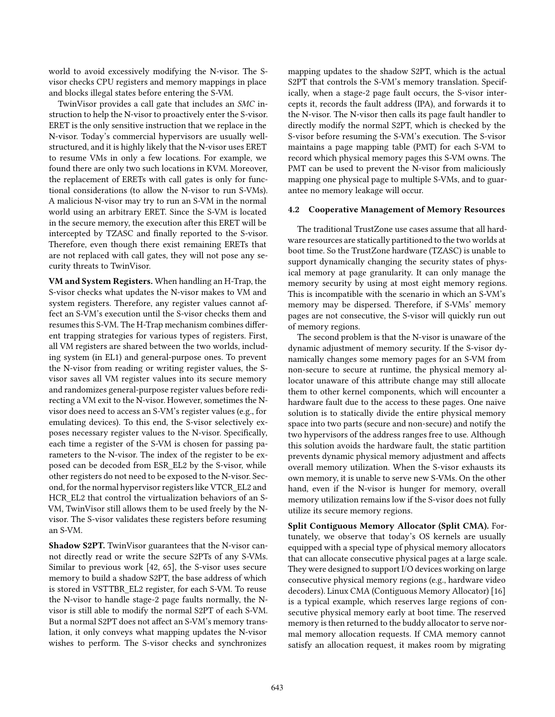world to avoid excessively modifying the N-visor. The Svisor checks CPU registers and memory mappings in place and blocks illegal states before entering the S-VM.

TwinVisor provides a call gate that includes an SMC instruction to help the N-visor to proactively enter the S-visor. ERET is the only sensitive instruction that we replace in the N-visor. Today's commercial hypervisors are usually wellstructured, and it is highly likely that the N-visor uses ERET to resume VMs in only a few locations. For example, we found there are only two such locations in KVM. Moreover, the replacement of ERETs with call gates is only for functional considerations (to allow the N-visor to run S-VMs). A malicious N-visor may try to run an S-VM in the normal world using an arbitrary ERET. Since the S-VM is located in the secure memory, the execution after this ERET will be intercepted by TZASC and finally reported to the S-visor. Therefore, even though there exist remaining ERETs that are not replaced with call gates, they will not pose any security threats to TwinVisor.

VM and System Registers. When handling an H-Trap, the S-visor checks what updates the N-visor makes to VM and system registers. Therefore, any register values cannot affect an S-VM's execution until the S-visor checks them and resumes this S-VM. The H-Trap mechanism combines different trapping strategies for various types of registers. First, all VM registers are shared between the two worlds, including system (in EL1) and general-purpose ones. To prevent the N-visor from reading or writing register values, the Svisor saves all VM register values into its secure memory and randomizes general-purpose register values before redirecting a VM exit to the N-visor. However, sometimes the Nvisor does need to access an S-VM's register values (e.g., for emulating devices). To this end, the S-visor selectively exposes necessary register values to the N-visor. Specifically, each time a register of the S-VM is chosen for passing parameters to the N-visor. The index of the register to be exposed can be decoded from ESR\_EL2 by the S-visor, while other registers do not need to be exposed to the N-visor. Second, for the normal hypervisor registers like VTCR\_EL2 and HCR\_EL2 that control the virtualization behaviors of an S-VM, TwinVisor still allows them to be used freely by the Nvisor. The S-visor validates these registers before resuming an S-VM.

Shadow S2PT. TwinVisor guarantees that the N-visor cannot directly read or write the secure S2PTs of any S-VMs. Similar to previous work [\[42](#page-14-29), [65](#page-15-15)], the S-visor uses secure memory to build a shadow S2PT, the base address of which is stored in VSTTBR\_EL2 register, for each S-VM. To reuse the N-visor to handle stage-2 page faults normally, the Nvisor is still able to modify the normal S2PT of each S-VM. But a normal S2PT does not affect an S-VM's memory translation, it only conveys what mapping updates the N-visor wishes to perform. The S-visor checks and synchronizes

mapping updates to the shadow S2PT, which is the actual S2PT that controls the S-VM's memory translation. Specifically, when a stage-2 page fault occurs, the S-visor intercepts it, records the fault address (IPA), and forwards it to the N-visor. The N-visor then calls its page fault handler to directly modify the normal S2PT, which is checked by the S-visor before resuming the S-VM's execution. The S-visor maintains a page mapping table (PMT) for each S-VM to record which physical memory pages this S-VM owns. The PMT can be used to prevent the N-visor from maliciously mapping one physical page to multiple S-VMs, and to guarantee no memory leakage will occur.

## <span id="page-5-0"></span>4.2 Cooperative Management of Memory Resources

The traditional TrustZone use cases assume that all hardware resources are statically partitioned to the two worlds at boot time. So the TrustZone hardware (TZASC) is unable to support dynamically changing the security states of physical memory at page granularity. It can only manage the memory security by using at most eight memory regions. This is incompatible with the scenario in which an S-VM's memory may be dispersed. Therefore, if S-VMs' memory pages are not consecutive, the S-visor will quickly run out of memory regions.

The second problem is that the N-visor is unaware of the dynamic adjustment of memory security. If the S-visor dynamically changes some memory pages for an S-VM from non-secure to secure at runtime, the physical memory allocator unaware of this attribute change may still allocate them to other kernel components, which will encounter a hardware fault due to the access to these pages. One naive solution is to statically divide the entire physical memory space into two parts (secure and non-secure) and notify the two hypervisors of the address ranges free to use. Although this solution avoids the hardware fault, the static partition prevents dynamic physical memory adjustment and affects overall memory utilization. When the S-visor exhausts its own memory, it is unable to serve new S-VMs. On the other hand, even if the N-visor is hunger for memory, overall memory utilization remains low if the S-visor does not fully utilize its secure memory regions.

Split Contiguous Memory Allocator (Split CMA). Fortunately, we observe that today's OS kernels are usually equipped with a special type of physical memory allocators that can allocate consecutive physical pages at a large scale. They were designed to support I/O devices working on large consecutive physical memory regions (e.g., hardware video decoders). Linux CMA (Contiguous Memory Allocator) [\[16](#page-14-33)] is a typical example, which reserves large regions of consecutive physical memory early at boot time. The reserved memory is then returned to the buddy allocator to serve normal memory allocation requests. If CMA memory cannot satisfy an allocation request, it makes room by migrating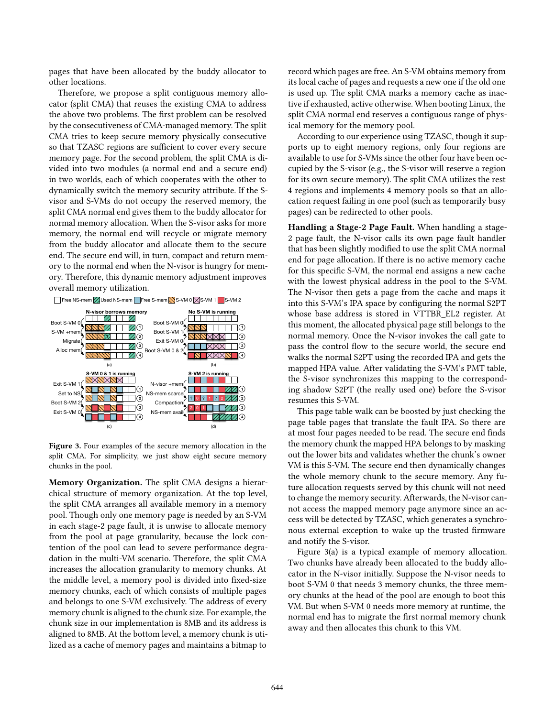pages that have been allocated by the buddy allocator to other locations.

Therefore, we propose a split contiguous memory allocator (split CMA) that reuses the existing CMA to address the above two problems. The first problem can be resolved by the consecutiveness of CMA-managed memory. The split CMA tries to keep secure memory physically consecutive so that TZASC regions are sufficient to cover every secure memory page. For the second problem, the split CMA is divided into two modules (a normal end and a secure end) in two worlds, each of which cooperates with the other to dynamically switch the memory security attribute. If the Svisor and S-VMs do not occupy the reserved memory, the split CMA normal end gives them to the buddy allocator for normal memory allocation. When the S-visor asks for more memory, the normal end will recycle or migrate memory from the buddy allocator and allocate them to the secure end. The secure end will, in turn, compact and return memory to the normal end when the N-visor is hungry for memory. Therefore, this dynamic memory adjustment improves overall memory utilization.

<span id="page-6-0"></span>

Figure 3. Four examples of the secure memory allocation in the split CMA. For simplicity, we just show eight secure memory chunks in the pool.

Memory Organization. The split CMA designs a hierarchical structure of memory organization. At the top level, the split CMA arranges all available memory in a memory pool. Though only one memory page is needed by an S-VM in each stage-2 page fault, it is unwise to allocate memory from the pool at page granularity, because the lock contention of the pool can lead to severe performance degradation in the multi-VM scenario. Therefore, the split CMA increases the allocation granularity to memory chunks. At the middle level, a memory pool is divided into fixed-size memory chunks, each of which consists of multiple pages and belongs to one S-VM exclusively. The address of every memory chunk is aligned to the chunk size. For example, the chunk size in our implementation is 8MB and its address is aligned to 8MB. At the bottom level, a memory chunk is utilized as a cache of memory pages and maintains a bitmap to

record which pages are free. An S-VM obtains memory from its local cache of pages and requests a new one if the old one is used up. The split CMA marks a memory cache as inactive if exhausted, active otherwise. When booting Linux, the split CMA normal end reserves a contiguous range of physical memory for the memory pool.

According to our experience using TZASC, though it supports up to eight memory regions, only four regions are available to use for S-VMs since the other four have been occupied by the S-visor (e.g., the S-visor will reserve a region for its own secure memory). The split CMA utilizes the rest 4 regions and implements 4 memory pools so that an allocation request failing in one pool (such as temporarily busy pages) can be redirected to other pools.

Handling a Stage-2 Page Fault. When handling a stage-2 page fault, the N-visor calls its own page fault handler that has been slightly modified to use the split CMA normal end for page allocation. If there is no active memory cache for this specific S-VM, the normal end assigns a new cache with the lowest physical address in the pool to the S-VM. The N-visor then gets a page from the cache and maps it into this S-VM's IPA space by configuring the normal S2PT whose base address is stored in VTTBR\_EL2 register. At this moment, the allocated physical page still belongs to the normal memory. Once the N-visor invokes the call gate to pass the control flow to the secure world, the secure end walks the normal S2PT using the recorded IPA and gets the mapped HPA value. After validating the S-VM's PMT table, the S-visor synchronizes this mapping to the corresponding shadow S2PT (the really used one) before the S-visor resumes this S-VM.

This page table walk can be boosted by just checking the page table pages that translate the fault IPA. So there are at most four pages needed to be read. The secure end finds the memory chunk the mapped HPA belongs to by masking out the lower bits and validates whether the chunk's owner VM is this S-VM. The secure end then dynamically changes the whole memory chunk to the secure memory. Any future allocation requests served by this chunk will not need to change the memory security. Afterwards, the N-visor cannot access the mapped memory page anymore since an access will be detected by TZASC, which generates a synchronous external exception to wake up the trusted firmware and notify the S-visor.

Figure [3\(](#page-6-0)a) is a typical example of memory allocation. Two chunks have already been allocated to the buddy allocator in the N-visor initially. Suppose the N-visor needs to boot S-VM 0 that needs 3 memory chunks, the three memory chunks at the head of the pool are enough to boot this VM. But when S-VM 0 needs more memory at runtime, the normal end has to migrate the first normal memory chunk away and then allocates this chunk to this VM.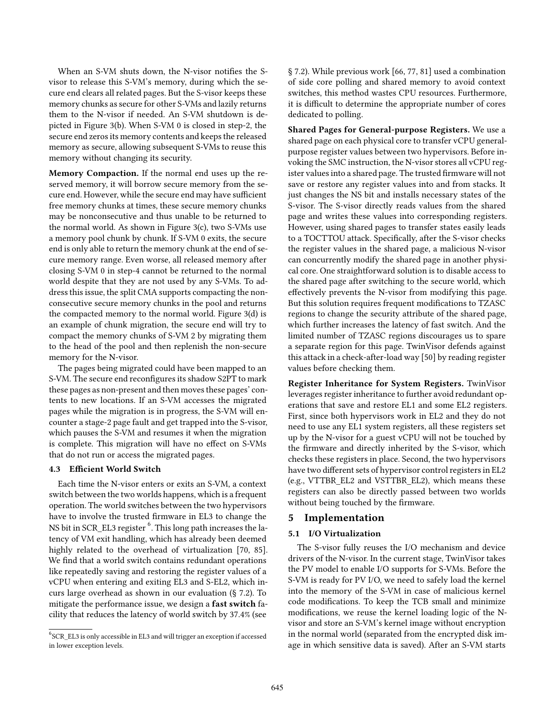When an S-VM shuts down, the N-visor notifies the Svisor to release this S-VM's memory, during which the secure end clears all related pages. But the S-visor keeps these memory chunks as secure for other S-VMs and lazily returns them to the N-visor if needed. An S-VM shutdown is depicted in Figure [3\(](#page-6-0)b). When S-VM 0 is closed in step-2, the secure end zeros its memory contents and keeps the released memory as secure, allowing subsequent S-VMs to reuse this memory without changing its security.

Memory Compaction. If the normal end uses up the reserved memory, it will borrow secure memory from the secure end. However, while the secure end may have sufficient free memory chunks at times, these secure memory chunks may be nonconsecutive and thus unable to be returned to the normal world. As shown in Figure [3\(](#page-6-0)c), two S-VMs use a memory pool chunk by chunk. If S-VM 0 exits, the secure end is only able to return the memory chunk at the end of secure memory range. Even worse, all released memory after closing S-VM 0 in step-4 cannot be returned to the normal world despite that they are not used by any S-VMs. To address this issue, the split CMA supports compacting the nonconsecutive secure memory chunks in the pool and returns the compacted memory to the normal world. Figure [3\(](#page-6-0)d) is an example of chunk migration, the secure end will try to compact the memory chunks of S-VM 2 by migrating them to the head of the pool and then replenish the non-secure memory for the N-visor.

The pages being migrated could have been mapped to an S-VM. The secure end reconfigures its shadow S2PT to mark these pages as non-present and then moves these pages' contents to new locations. If an S-VM accesses the migrated pages while the migration is in progress, the S-VM will encounter a stage-2 page fault and get trapped into the S-visor, which pauses the S-VM and resumes it when the migration is complete. This migration will have no effect on S-VMs that do not run or access the migrated pages.

# <span id="page-7-0"></span>4.3 Efficient World Switch

Each time the N-visor enters or exits an S-VM, a context switch between the two worlds happens, which is a frequent operation. The world switches between the two hypervisors have to involve the trusted firmware in EL3 to change the NS bit in SCR\_EL3 register  $^6$  $^6$  . This long path increases the latency of VM exit handling, which has already been deemed highly related to the overhead of virtualization [\[70,](#page-15-16) [85\]](#page-16-13). We find that a world switch contains redundant operations like repeatedly saving and restoring the register values of a vCPU when entering and exiting EL3 and S-EL2, which incurs large overhead as shown in our evaluation (§ [7.2\)](#page-10-0). To mitigate the performance issue, we design a fast switch facility that reduces the latency of world switch by 37.4% (see

§ [7.2\)](#page-10-0). While previous work [\[66](#page-15-17), [77](#page-16-14), [81\]](#page-16-15) used a combination of side core polling and shared memory to avoid context switches, this method wastes CPU resources. Furthermore, it is difficult to determine the appropriate number of cores dedicated to polling.

Shared Pages for General-purpose Registers. We use a shared page on each physical core to transfer vCPU generalpurpose register values between two hypervisors. Before invoking the SMC instruction, the N-visor stores all vCPU register values into a shared page. The trusted firmware will not save or restore any register values into and from stacks. It just changes the NS bit and installs necessary states of the S-visor. The S-visor directly reads values from the shared page and writes these values into corresponding registers. However, using shared pages to transfer states easily leads to a TOCTTOU attack. Specifically, after the S-visor checks the register values in the shared page, a malicious N-visor can concurrently modify the shared page in another physical core. One straightforward solution is to disable access to the shared page after switching to the secure world, which effectively prevents the N-visor from modifying this page. But this solution requires frequent modifications to TZASC regions to change the security attribute of the shared page, which further increases the latency of fast switch. And the limited number of TZASC regions discourages us to spare a separate region for this page. TwinVisor defends against this attack in a check-after-load way [\[50\]](#page-15-18) by reading register values before checking them.

Register Inheritance for System Registers. TwinVisor leverages register inheritance to further avoid redundant operations that save and restore EL1 and some EL2 registers. First, since both hypervisors work in EL2 and they do not need to use any EL1 system registers, all these registers set up by the N-visor for a guest vCPU will not be touched by the firmware and directly inherited by the S-visor, which checks these registers in place. Second, the two hypervisors have two different sets of hypervisor control registers in EL2 (e.g., VTTBR\_EL2 and VSTTBR\_EL2), which means these registers can also be directly passed between two worlds without being touched by the firmware.

# <span id="page-7-2"></span>5 Implementation

## 5.1 I/O Virtualization

The S-visor fully reuses the I/O mechanism and device drivers of the N-visor. In the current stage, TwinVisor takes the PV model to enable I/O supports for S-VMs. Before the S-VM is ready for PV I/O, we need to safely load the kernel into the memory of the S-VM in case of malicious kernel code modifications. To keep the TCB small and minimize modifications, we reuse the kernel loading logic of the Nvisor and store an S-VM's kernel image without encryption in the normal world (separated from the encrypted disk image in which sensitive data is saved). After an S-VM starts

<span id="page-7-1"></span> ${}^{6}$ SCR\_EL3 is only accessible in EL3 and will trigger an exception if accessed in lower exception levels.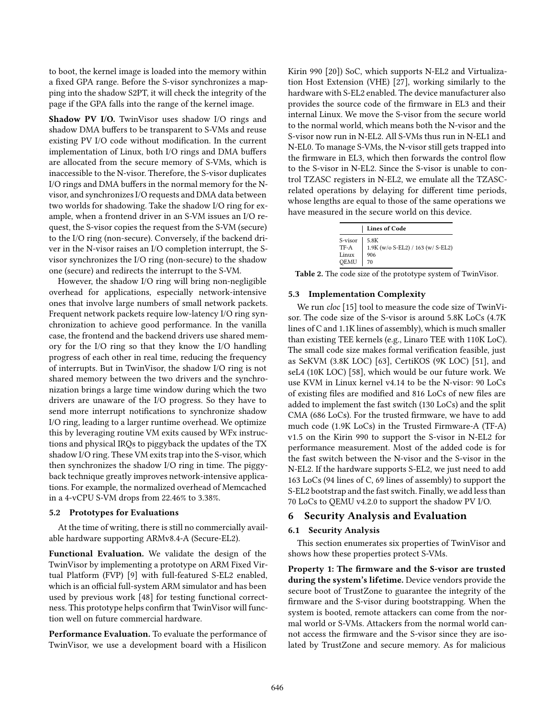to boot, the kernel image is loaded into the memory within a fixed GPA range. Before the S-visor synchronizes a mapping into the shadow S2PT, it will check the integrity of the page if the GPA falls into the range of the kernel image.

Shadow PV I/O. TwinVisor uses shadow I/O rings and shadow DMA buffers to be transparent to S-VMs and reuse existing PV I/O code without modification. In the current implementation of Linux, both I/O rings and DMA buffers are allocated from the secure memory of S-VMs, which is inaccessible to the N-visor. Therefore, the S-visor duplicates I/O rings and DMA buffers in the normal memory for the Nvisor, and synchronizes I/O requests and DMA data between two worlds for shadowing. Take the shadow I/O ring for example, when a frontend driver in an S-VM issues an I/O request, the S-visor copies the request from the S-VM (secure) to the I/O ring (non-secure). Conversely, if the backend driver in the N-visor raises an I/O completion interrupt, the Svisor synchronizes the I/O ring (non-secure) to the shadow one (secure) and redirects the interrupt to the S-VM.

However, the shadow I/O ring will bring non-negligible overhead for applications, especially network-intensive ones that involve large numbers of small network packets. Frequent network packets require low-latency I/O ring synchronization to achieve good performance. In the vanilla case, the frontend and the backend drivers use shared memory for the I/O ring so that they know the I/O handling progress of each other in real time, reducing the frequency of interrupts. But in TwinVisor, the shadow I/O ring is not shared memory between the two drivers and the synchronization brings a large time window during which the two drivers are unaware of the I/O progress. So they have to send more interrupt notifications to synchronize shadow I/O ring, leading to a larger runtime overhead. We optimize this by leveraging routine VM exits caused by WFx instructions and physical IRQs to piggyback the updates of the TX shadow I/O ring. These VM exits trap into the S-visor, which then synchronizes the shadow I/O ring in time. The piggyback technique greatly improves network-intensive applications. For example, the normalized overhead of Memcached in a 4-vCPU S-VM drops from 22.46% to 3.38%.

#### 5.2 Prototypes for Evaluations

At the time of writing, there is still no commercially available hardware supporting ARMv8.4-A (Secure-EL2).

Functional Evaluation. We validate the design of the TwinVisor by implementing a prototype on ARM Fixed Virtual Platform (FVP) [\[9](#page-14-34)] with full-featured S-EL2 enabled, which is an official full-system ARM simulator and has been used by previous work [\[48](#page-15-19)] for testing functional correctness. This prototype helps confirm that TwinVisor will function well on future commercial hardware.

Performance Evaluation. To evaluate the performance of TwinVisor, we use a development board with a Hisilicon

Kirin 990 [\[20\]](#page-14-35)) SoC, which supports N-EL2 and Virtualization Host Extension (VHE) [\[27\]](#page-14-36), working similarly to the hardware with S-EL2 enabled. The device manufacturer also provides the source code of the firmware in EL3 and their internal Linux. We move the S-visor from the secure world to the normal world, which means both the N-visor and the S-visor now run in N-EL2. All S-VMs thus run in N-EL1 and N-EL0. To manage S-VMs, the N-visor still gets trapped into the firmware in EL3, which then forwards the control flow to the S-visor in N-EL2. Since the S-visor is unable to control TZASC registers in N-EL2, we emulate all the TZASCrelated operations by delaying for different time periods, whose lengths are equal to those of the same operations we have measured in the secure world on this device.

|                                  | <b>Lines of Code</b>                                   |  |  |  |
|----------------------------------|--------------------------------------------------------|--|--|--|
| S-visor<br>TF-A<br>Linux<br>QEMU | 5.8K<br>1.9K (w/o S-EL2) / 163 (w/ S-EL2)<br>906<br>70 |  |  |  |

Table 2. The code size of the prototype system of TwinVisor.

#### 5.3 Implementation Complexity

We run *cloc* [\[15](#page-14-37)] tool to measure the code size of TwinVisor. The code size of the S-visor is around 5.8K LoCs (4.7K lines of C and 1.1K lines of assembly), which is much smaller than existing TEE kernels (e.g., Linaro TEE with 110K LoC). The small code size makes formal verification feasible, just as SeKVM (3.8K LOC) [\[63\]](#page-15-20), CertiKOS (9K LOC) [\[51\]](#page-15-21), and seL4 (10K LOC) [\[58\]](#page-15-22), which would be our future work. We use KVM in Linux kernel v4.14 to be the N-visor: 90 LoCs of existing files are modified and 816 LoCs of new files are added to implement the fast switch (130 LoCs) and the split CMA (686 LoCs). For the trusted firmware, we have to add much code (1.9K LoCs) in the Trusted Firmware-A (TF-A) v1.5 on the Kirin 990 to support the S-visor in N-EL2 for performance measurement. Most of the added code is for the fast switch between the N-visor and the S-visor in the N-EL2. If the hardware supports S-EL2, we just need to add 163 LoCs (94 lines of C, 69 lines of assembly) to support the S-EL2 bootstrap and the fast switch. Finally, we add less than 70 LoCs to QEMU v4.2.0 to support the shadow PV I/O.

## 6 Security Analysis and Evaluation

#### 6.1 Security Analysis

This section enumerates six properties of TwinVisor and shows how these properties protect S-VMs.

Property 1: The firmware and the S-visor are trusted during the system's lifetime. Device vendors provide the secure boot of TrustZone to guarantee the integrity of the firmware and the S-visor during bootstrapping. When the system is booted, remote attackers can come from the normal world or S-VMs. Attackers from the normal world cannot access the firmware and the S-visor since they are isolated by TrustZone and secure memory. As for malicious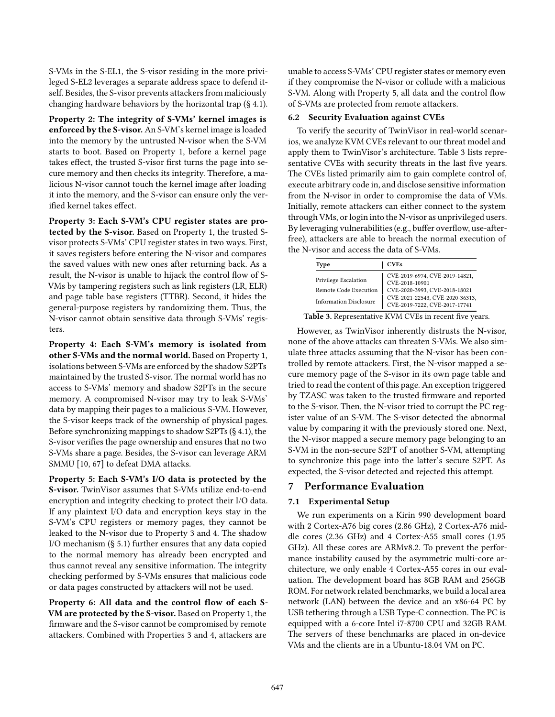S-VMs in the S-EL1, the S-visor residing in the more privileged S-EL2 leverages a separate address space to defend itself. Besides, the S-visor prevents attackers from maliciously changing hardware behaviors by the horizontal trap (§ [4.1\)](#page-4-0).

Property 2: The integrity of S-VMs' kernel images is enforced by the S-visor. An S-VM's kernel image is loaded into the memory by the untrusted N-visor when the S-VM starts to boot. Based on Property 1, before a kernel page takes effect, the trusted S-visor first turns the page into secure memory and then checks its integrity. Therefore, a malicious N-visor cannot touch the kernel image after loading it into the memory, and the S-visor can ensure only the verified kernel takes effect.

Property 3: Each S-VM's CPU register states are protected by the S-visor. Based on Property 1, the trusted Svisor protects S-VMs' CPU register states in two ways. First, it saves registers before entering the N-visor and compares the saved values with new ones after returning back. As a result, the N-visor is unable to hijack the control flow of S-VMs by tampering registers such as link registers (LR, ELR) and page table base registers (TTBR). Second, it hides the general-purpose registers by randomizing them. Thus, the N-visor cannot obtain sensitive data through S-VMs' registers.

Property 4: Each S-VM's memory is isolated from other S-VMs and the normal world. Based on Property 1, isolations between S-VMs are enforced by the shadow S2PTs maintained by the trusted S-visor. The normal world has no access to S-VMs' memory and shadow S2PTs in the secure memory. A compromised N-visor may try to leak S-VMs' data by mapping their pages to a malicious S-VM. However, the S-visor keeps track of the ownership of physical pages. Before synchronizing mappings to shadow S2PTs (§ [4.1\)](#page-4-0), the S-visor verifies the page ownership and ensures that no two S-VMs share a page. Besides, the S-visor can leverage ARM SMMU [\[10](#page-14-38), [67](#page-15-23)] to defeat DMA attacks.

Property 5: Each S-VM's I/O data is protected by the S-visor. TwinVisor assumes that S-VMs utilize end-to-end encryption and integrity checking to protect their I/O data. If any plaintext I/O data and encryption keys stay in the S-VM's CPU registers or memory pages, they cannot be leaked to the N-visor due to Property 3 and 4. The shadow I/O mechanism (§ [5.1\)](#page-7-2) further ensures that any data copied to the normal memory has already been encrypted and thus cannot reveal any sensitive information. The integrity checking performed by S-VMs ensures that malicious code or data pages constructed by attackers will not be used.

Property 6: All data and the control flow of each S-VM are protected by the S-visor. Based on Property 1, the firmware and the S-visor cannot be compromised by remote attackers. Combined with Properties 3 and 4, attackers are

unable to access S-VMs' CPU register states or memory even if they compromise the N-visor or collude with a malicious S-VM. Along with Property 5, all data and the control flow of S-VMs are protected from remote attackers.

## 6.2 Security Evaluation against CVEs

To verify the security of TwinVisor in real-world scenarios, we analyze KVM CVEs relevant to our threat model and apply them to TwinVisor's architecture. Table [3](#page-9-0) lists representative CVEs with security threats in the last five years. The CVEs listed primarily aim to gain complete control of, execute arbitrary code in, and disclose sensitive information from the N-visor in order to compromise the data of VMs. Initially, remote attackers can either connect to the system through VMs, or login into the N-visor as unprivileged users. By leveraging vulnerabilities (e.g., buffer overflow, use-afterfree), attackers are able to breach the normal execution of the N-visor and access the data of S-VMs.

<span id="page-9-0"></span>

| Type                                                                           | <b>CVEs</b>                                                                                                                                           |
|--------------------------------------------------------------------------------|-------------------------------------------------------------------------------------------------------------------------------------------------------|
| Privilege Escalation<br>Remote Code Execution<br><b>Information Disclosure</b> | CVE-2019-6974, CVE-2019-14821,<br>CVE-2018-10901<br>CVE-2020-3993, CVE-2018-18021<br>CVE-2021-22543, CVE-2020-36313,<br>CVE-2019-7222, CVE-2017-17741 |

Table 3. Representative KVM CVEs in recent five years.

However, as TwinVisor inherently distrusts the N-visor, none of the above attacks can threaten S-VMs. We also simulate three attacks assuming that the N-visor has been controlled by remote attackers. First, the N-visor mapped a secure memory page of the S-visor in its own page table and tried to read the content of this page. An exception triggered by TZASC was taken to the trusted firmware and reported to the S-visor. Then, the N-visor tried to corrupt the PC register value of an S-VM. The S-visor detected the abnormal value by comparing it with the previously stored one. Next, the N-visor mapped a secure memory page belonging to an S-VM in the non-secure S2PT of another S-VM, attempting to synchronize this page into the latter's secure S2PT. As expected, the S-visor detected and rejected this attempt.

# 7 Performance Evaluation

# 7.1 Experimental Setup

We run experiments on a Kirin 990 development board with 2 Cortex-A76 big cores (2.86 GHz), 2 Cortex-A76 middle cores (2.36 GHz) and 4 Cortex-A55 small cores (1.95 GHz). All these cores are ARMv8.2. To prevent the performance instability caused by the asymmetric multi-core architecture, we only enable 4 Cortex-A55 cores in our evaluation. The development board has 8GB RAM and 256GB ROM. For network related benchmarks, we build a local area network (LAN) between the device and an x86-64 PC by USB tethering through a USB Type-C connection. The PC is equipped with a 6-core Intel i7-8700 CPU and 32GB RAM. The servers of these benchmarks are placed in on-device VMs and the clients are in a Ubuntu-18.04 VM on PC.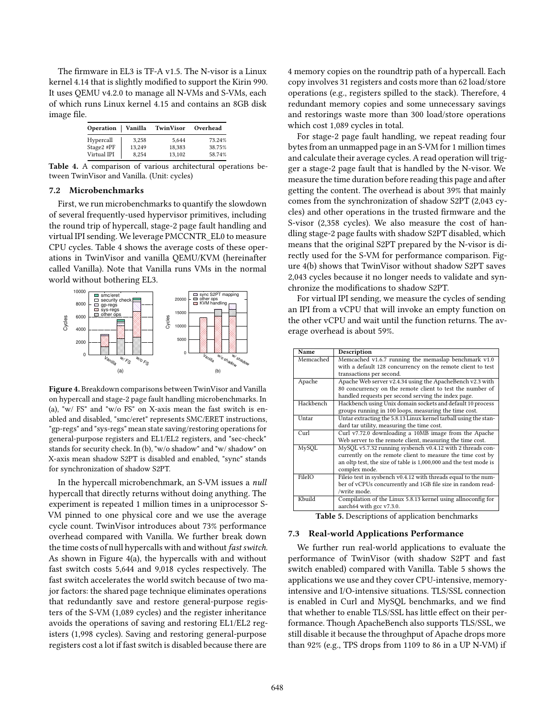The firmware in EL3 is TF-A v1.5. The N-visor is a Linux kernel 4.14 that is slightly modified to support the Kirin 990. It uses QEMU v4.2.0 to manage all N-VMs and S-VMs, each of which runs Linux kernel 4.15 and contains an 8GB disk image file.

<span id="page-10-1"></span>

| Operation Vanilla |        | TwinVisor | Overhead |
|-------------------|--------|-----------|----------|
| Hypercall         | 3.258  | 5.644     | 73.24%   |
| Stage2 #PF        | 13.249 | 18.383    | 38.75%   |
| Virtual IPI       | 8.254  | 13.102    | 58.74%   |

<span id="page-10-0"></span>Table 4. A comparison of various architectural operations between TwinVisor and Vanilla. (Unit: cycles)

#### 7.2 Microbenchmarks

First, we run microbenchmarks to quantify the slowdown of several frequently-used hypervisor primitives, including the round trip of hypercall, stage-2 page fault handling and virtual IPI sending. We leverage PMCCNTR\_EL0 to measure CPU cycles. Table [4](#page-10-1) shows the average costs of these operations in TwinVisor and vanilla QEMU/KVM (hereinafter called Vanilla). Note that Vanilla runs VMs in the normal world without bothering EL3.

<span id="page-10-2"></span>

Figure 4. Breakdown comparisons between TwinVisor and Vanilla on hypercall and stage-2 page fault handling microbenchmarks. In (a), "w/ FS" and "w/o FS" on X-axis mean the fast switch is enabled and disabled, "smc/eret" represents SMC/ERET instructions, "gp-regs" and "sys-regs" mean state saving/restoring operations for general-purpose registers and EL1/EL2 registers, and "sec-check" stands for security check. In (b), "w/o shadow" and "w/ shadow" on X-axis mean shadow S2PT is disabled and enabled, "sync" stands for synchronization of shadow S2PT.

In the hypercall microbenchmark, an S-VM issues a null hypercall that directly returns without doing anything. The experiment is repeated 1 million times in a uniprocessor S-VM pinned to one physical core and we use the average cycle count. TwinVisor introduces about 73% performance overhead compared with Vanilla. We further break down the time costs of null hypercalls with and without fast switch. As shown in Figure [4\(](#page-10-2)a), the hypercalls with and without fast switch costs 5,644 and 9,018 cycles respectively. The fast switch accelerates the world switch because of two major factors: the shared page technique eliminates operations that redundantly save and restore general-purpose registers of the S-VM (1,089 cycles) and the register inheritance avoids the operations of saving and restoring EL1/EL2 registers (1,998 cycles). Saving and restoring general-purpose registers cost a lot if fast switch is disabled because there are

4 memory copies on the roundtrip path of a hypercall. Each copy involves 31 registers and costs more than 62 load/store operations (e.g., registers spilled to the stack). Therefore, 4 redundant memory copies and some unnecessary savings and restorings waste more than 300 load/store operations which cost 1,089 cycles in total.

For stage-2 page fault handling, we repeat reading four bytes from an unmapped page in an S-VM for 1 million times and calculate their average cycles. A read operation will trigger a stage-2 page fault that is handled by the N-visor. We measure the time duration before reading this page and after getting the content. The overhead is about 39% that mainly comes from the synchronization of shadow S2PT (2,043 cycles) and other operations in the trusted firmware and the S-visor (2,358 cycles). We also measure the cost of handling stage-2 page faults with shadow S2PT disabled, which means that the original S2PT prepared by the N-visor is directly used for the S-VM for performance comparison. Figure [4\(](#page-10-2)b) shows that TwinVisor without shadow S2PT saves 2,043 cycles because it no longer needs to validate and synchronize the modifications to shadow S2PT.

For virtual IPI sending, we measure the cycles of sending an IPI from a vCPU that will invoke an empty function on the other vCPU and wait until the function returns. The average overhead is about 59%.

<span id="page-10-3"></span>

| Name         | Description                                                       |
|--------------|-------------------------------------------------------------------|
| Memcached    | Memcached v1.6.7 running the memaslap benchmark v1.0              |
|              | with a default 128 concurrency on the remote client to test       |
|              | transactions per second.                                          |
| Apache       | Apache Web server v2.4.34 using the ApacheBench v2.3 with         |
|              | 80 concurrency on the remote client to test the number of         |
|              | handled requests per second serving the index page.               |
| Hackbench    | Hackbench using Unix domain sockets and default 10 process        |
|              | groups running in 100 loops, measuring the time cost.             |
| <b>Untar</b> | Untar extracting the 5.8.13 Linux kernel tarball using the stan-  |
|              | dard tar utility, measuring the time cost.                        |
| Curl         | Curl v7.72.0 downloading a 10MB image from the Apache             |
|              | Web server to the remote client, measuring the time cost.         |
| MySQL        | MySQL v5.7.32 running sysbench v0.4.12 with 2 threads con-        |
|              | currently on the remote client to measure the time cost by        |
|              | an oltp test, the size of table is 1,000,000 and the test mode is |
|              | complex mode.                                                     |
| FileIO       | Fileio test in sysbench v0.4.12 with threads equal to the num-    |
|              | ber of vCPUs concurrently and 1GB file size in random read-       |
|              | /write mode.                                                      |
| Kbuild       | Compilation of the Linux 5.8.13 kernel using allnoconfig for      |
|              | aarch64 with gcc v7.3.0.                                          |
|              |                                                                   |

Table 5. Descriptions of application benchmarks

#### <span id="page-10-4"></span>7.3 Real-world Applications Performance

We further run real-world applications to evaluate the performance of TwinVisor (with shadow S2PT and fast switch enabled) compared with Vanilla. Table [5](#page-10-3) shows the applications we use and they cover CPU-intensive, memoryintensive and I/O-intensive situations. TLS/SSL connection is enabled in Curl and MySQL benchmarks, and we find that whether to enable TLS/SSL has little effect on their performance. Though ApacheBench also supports TLS/SSL, we still disable it because the throughput of Apache drops more than 92% (e.g., TPS drops from 1109 to 86 in a UP N-VM) if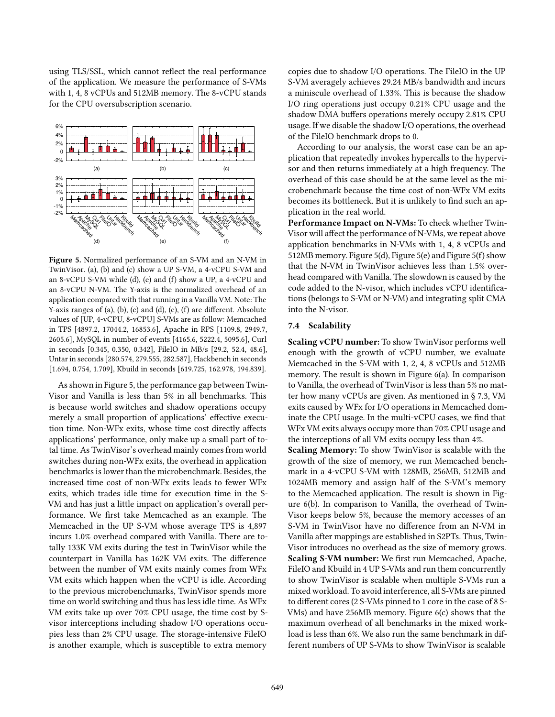using TLS/SSL, which cannot reflect the real performance of the application. We measure the performance of S-VMs with 1, 4, 8 vCPUs and 512MB memory. The 8-vCPU stands for the CPU oversubscription scenario.

<span id="page-11-0"></span>

Figure 5. Normalized performance of an S-VM and an N-VM in TwinVisor. (a), (b) and (c) show a UP S-VM, a 4-vCPU S-VM and an 8-vCPU S-VM while (d), (e) and (f) show a UP, a 4-vCPU and an 8-vCPU N-VM. The Y-axis is the normalized overhead of an application compared with that running in a Vanilla VM. Note: The Y-axis ranges of (a), (b), (c) and (d), (e), (f) are different. Absolute values of [UP, 4-vCPU, 8-vCPU] S-VMs are as follow: Memcached in TPS [4897.2, 17044.2, 16853.6], Apache in RPS [1109.8, 2949.7, 2605.6], MySQL in number of events [4165.6, 5222.4, 5095.6], Curl in seconds [0.345, 0.350, 0.342], FileIO in MB/s [29.2, 52.4, 48.6], Untar in seconds [280.574, 279.555, 282.587], Hackbench in seconds [1.694, 0.754, 1.709], Kbuild in seconds [619.725, 162.978, 194.839].

As shown in Figure [5,](#page-11-0) the performance gap between Twin-Visor and Vanilla is less than 5% in all benchmarks. This is because world switches and shadow operations occupy merely a small proportion of applications' effective execution time. Non-WFx exits, whose time cost directly affects applications' performance, only make up a small part of total time. As TwinVisor's overhead mainly comes from world switches during non-WFx exits, the overhead in application benchmarks is lower than the microbenchmark. Besides, the increased time cost of non-WFx exits leads to fewer WFx exits, which trades idle time for execution time in the S-VM and has just a little impact on application's overall performance. We first take Memcached as an example. The Memcached in the UP S-VM whose average TPS is 4,897 incurs 1.0% overhead compared with Vanilla. There are totally 133K VM exits during the test in TwinVisor while the counterpart in Vanilla has 162K VM exits. The difference between the number of VM exits mainly comes from WFx VM exits which happen when the vCPU is idle. According to the previous microbenchmarks, TwinVisor spends more time on world switching and thus has less idle time. As WFx VM exits take up over 70% CPU usage, the time cost by Svisor interceptions including shadow I/O operations occupies less than 2% CPU usage. The storage-intensive FileIO is another example, which is susceptible to extra memory

copies due to shadow I/O operations. The FileIO in the UP S-VM averagely achieves 29.24 MB/s bandwidth and incurs a miniscule overhead of 1.33%. This is because the shadow I/O ring operations just occupy 0.21% CPU usage and the shadow DMA buffers operations merely occupy 2.81% CPU usage. If we disable the shadow I/O operations, the overhead of the FileIO benchmark drops to 0.

According to our analysis, the worst case can be an application that repeatedly invokes hypercalls to the hypervisor and then returns immediately at a high frequency. The overhead of this case should be at the same level as the microbenchmark because the time cost of non-WFx VM exits becomes its bottleneck. But it is unlikely to find such an application in the real world.

Performance Impact on N-VMs: To check whether Twin-Visor will affect the performance of N-VMs, we repeat above application benchmarks in N-VMs with 1, 4, 8 vCPUs and 512MB memory. Figure [5\(](#page-11-0)d), Figure [5\(](#page-11-0)e) and Figure [5\(](#page-11-0)f) show that the N-VM in TwinVisor achieves less than 1.5% overhead compared with Vanilla. The slowdown is caused by the code added to the N-visor, which includes vCPU identifications (belongs to S-VM or N-VM) and integrating split CMA into the N-visor.

#### 7.4 Scalability

Scaling vCPU number: To show TwinVisor performs well enough with the growth of vCPU number, we evaluate Memcached in the S-VM with 1, 2, 4, 8 vCPUs and 512MB memory. The result is shown in Figure [6\(](#page-12-1)a). In comparison to Vanilla, the overhead of TwinVisor is less than 5% no matter how many vCPUs are given. As mentioned in § [7.3,](#page-10-4) VM exits caused by WFx for I/O operations in Memcached dominate the CPU usage. In the multi-vCPU cases, we find that WFx VM exits always occupy more than 70% CPU usage and the interceptions of all VM exits occupy less than 4%.

Scaling Memory: To show TwinVisor is scalable with the growth of the size of memory, we run Memcached benchmark in a 4-vCPU S-VM with 128MB, 256MB, 512MB and 1024MB memory and assign half of the S-VM's memory to the Memcached application. The result is shown in Figure [6\(](#page-12-1)b). In comparison to Vanilla, the overhead of Twin-Visor keeps below 5%, because the memory accesses of an S-VM in TwinVisor have no difference from an N-VM in Vanilla after mappings are established in S2PTs. Thus, Twin-Visor introduces no overhead as the size of memory grows. Scaling S-VM number: We first run Memcached, Apache, FileIO and Kbuild in 4 UP S-VMs and run them concurrently to show TwinVisor is scalable when multiple S-VMs run a mixed workload. To avoid interference, all S-VMs are pinned to different cores (2 S-VMs pinned to 1 core in the case of 8 S-VMs) and have 256MB memory. Figure [6\(](#page-12-1)c) shows that the maximum overhead of all benchmarks in the mixed workload is less than 6%. We also run the same benchmark in different numbers of UP S-VMs to show TwinVisor is scalable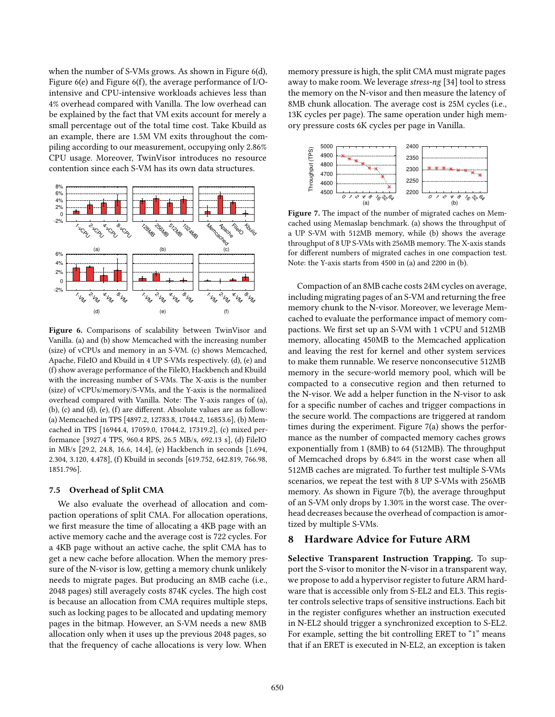when the number of S-VMs grows. As shown in Figure [6\(](#page-12-1)d), Figure [6\(](#page-12-1)e) and Figure [6\(](#page-12-1)f), the average performance of I/Ointensive and CPU-intensive workloads achieves less than 4% overhead compared with Vanilla. The low overhead can be explained by the fact that VM exits account for merely a small percentage out of the total time cost. Take Kbuild as an example, there are 1.5M VM exits throughout the compiling according to our measurement, occupying only 2.86% CPU usage. Moreover, TwinVisor introduces no resource contention since each S-VM has its own data structures.

<span id="page-12-1"></span>

Figure 6. Comparisons of scalability between TwinVisor and Vanilla. (a) and (b) show Memcached with the increasing number (size) of vCPUs and memory in an S-VM. (c) shows Memcached, Apache, FileIO and Kbuild in 4 UP S-VMs respectively. (d), (e) and (f) show average performance of the FileIO, Hackbench and Kbuild with the increasing number of S-VMs. The X-axis is the number (size) of vCPUs/memory/S-VMs, and the Y-axis is the normalized overhead compared with Vanilla. Note: The Y-axis ranges of (a), (b), (c) and (d), (e), (f) are different. Absolute values are as follow: (a) Memcached in TPS [4897.2, 12783.8, 17044.2, 16853.6], (b) Memcached in TPS [16944.4, 17059.0, 17044.2, 17319.2], (c) mixed performance [3927.4 TPS, 960.4 RPS, 26.5 MB/s, 692.13 s], (d) FileIO in MB/s [29.2, 24.8, 16.6, 14.4], (e) Hackbench in seconds [1.694, 2.304, 3.120, 4.478], (f) Kbuild in seconds [619.752, 642.819, 766.98, 1851.796].

## 7.5 Overhead of Split CMA

We also evaluate the overhead of allocation and compaction operations of split CMA. For allocation operations, we first measure the time of allocating a 4KB page with an active memory cache and the average cost is 722 cycles. For a 4KB page without an active cache, the split CMA has to get a new cache before allocation. When the memory pressure of the N-visor is low, getting a memory chunk unlikely needs to migrate pages. But producing an 8MB cache (i.e., 2048 pages) still averagely costs 874K cycles. The high cost is because an allocation from CMA requires multiple steps, such as locking pages to be allocated and updating memory pages in the bitmap. However, an S-VM needs a new 8MB allocation only when it uses up the previous 2048 pages, so that the frequency of cache allocations is very low. When

memory pressure is high, the split CMA must migrate pages away to make room. We leverage stress-ng [\[34\]](#page-14-39) tool to stress the memory on the N-visor and then measure the latency of 8MB chunk allocation. The average cost is 25M cycles (i.e., 13K cycles per page). The same operation under high memory pressure costs 6K cycles per page in Vanilla.

<span id="page-12-2"></span>

Figure 7. The impact of the number of migrated caches on Memcached using Memaslap benchmark. (a) shows the throughput of a UP S-VM with 512MB memory, while (b) shows the average throughput of 8 UP S-VMs with 256MB memory. The X-axis stands for different numbers of migrated caches in one compaction test. Note: the Y-axis starts from 4500 in (a) and 2200 in (b).

Compaction of an 8MB cache costs 24M cycles on average, including migrating pages of an S-VM and returning the free memory chunk to the N-visor. Moreover, we leverage Memcached to evaluate the performance impact of memory compactions. We first set up an S-VM with 1 vCPU and 512MB memory, allocating 450MB to the Memcached application and leaving the rest for kernel and other system services to make them runnable. We reserve nonconsecutive 512MB memory in the secure-world memory pool, which will be compacted to a consecutive region and then returned to the N-visor. We add a helper function in the N-visor to ask for a specific number of caches and trigger compactions in the secure world. The compactions are triggered at random times during the experiment. Figure [7\(](#page-12-2)a) shows the performance as the number of compacted memory caches grows exponentially from 1 (8MB) to 64 (512MB). The throughput of Memcached drops by 6.84% in the worst case when all 512MB caches are migrated. To further test multiple S-VMs scenarios, we repeat the test with 8 UP S-VMs with 256MB memory. As shown in Figure [7\(](#page-12-2)b), the average throughput of an S-VM only drops by 1.30% in the worst case. The overhead decreases because the overhead of compaction is amortized by multiple S-VMs.

# <span id="page-12-0"></span>8 Hardware Advice for Future ARM

Selective Transparent Instruction Trapping. To support the S-visor to monitor the N-visor in a transparent way, we propose to add a hypervisor register to future ARM hardware that is accessible only from S-EL2 and EL3. This register controls selective traps of sensitive instructions. Each bit in the register configures whether an instruction executed in N-EL2 should trigger a synchronized exception to S-EL2. For example, setting the bit controlling ERET to "1" means that if an ERET is executed in N-EL2, an exception is taken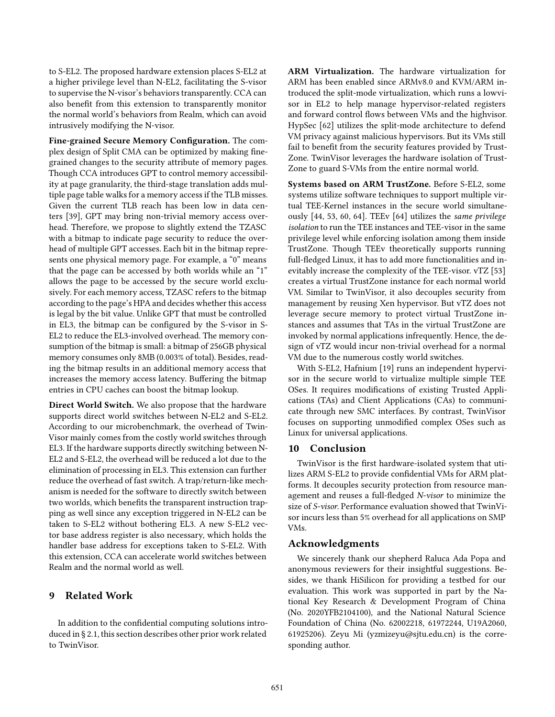to S-EL2. The proposed hardware extension places S-EL2 at a higher privilege level than N-EL2, facilitating the S-visor to supervise the N-visor's behaviors transparently. CCA can also benefit from this extension to transparently monitor the normal world's behaviors from Realm, which can avoid intrusively modifying the N-visor.

Fine-grained Secure Memory Configuration. The complex design of Split CMA can be optimized by making finegrained changes to the security attribute of memory pages. Though CCA introduces GPT to control memory accessibility at page granularity, the third-stage translation adds multiple page table walks for a memory access if the TLB misses. Given the current TLB reach has been low in data centers [\[39](#page-14-40)], GPT may bring non-trivial memory access overhead. Therefore, we propose to slightly extend the TZASC with a bitmap to indicate page security to reduce the overhead of multiple GPT accesses. Each bit in the bitmap represents one physical memory page. For example, a "0" means that the page can be accessed by both worlds while an "1" allows the page to be accessed by the secure world exclusively. For each memory access, TZASC refers to the bitmap according to the page's HPA and decides whether this access is legal by the bit value. Unlike GPT that must be controlled in EL3, the bitmap can be configured by the S-visor in S-EL2 to reduce the EL3-involved overhead. The memory consumption of the bitmap is small: a bitmap of 256GB physical memory consumes only 8MB (0.003% of total). Besides, reading the bitmap results in an additional memory access that increases the memory access latency. Buffering the bitmap entries in CPU caches can boost the bitmap lookup.

Direct World Switch. We also propose that the hardware supports direct world switches between N-EL2 and S-EL2. According to our microbenchmark, the overhead of Twin-Visor mainly comes from the costly world switches through EL3. If the hardware supports directly switching between N-EL2 and S-EL2, the overhead will be reduced a lot due to the elimination of processing in EL3. This extension can further reduce the overhead of fast switch. A trap/return-like mechanism is needed for the software to directly switch between two worlds, which benefits the transparent instruction trapping as well since any exception triggered in N-EL2 can be taken to S-EL2 without bothering EL3. A new S-EL2 vector base address register is also necessary, which holds the handler base address for exceptions taken to S-EL2. With this extension, CCA can accelerate world switches between Realm and the normal world as well.

# 9 Related Work

In addition to the confidential computing solutions introduced in § [2.1,](#page-1-1) this section describes other prior work related to TwinVisor.

ARM Virtualization. The hardware virtualization for ARM has been enabled since ARMv8.0 and KVM/ARM introduced the split-mode virtualization, which runs a lowvisor in EL2 to help manage hypervisor-related registers and forward control flows between VMs and the highvisor. HypSec [\[62](#page-15-24)] utilizes the split-mode architecture to defend VM privacy against malicious hypervisors. But its VMs still fail to benefit from the security features provided by Trust-Zone. TwinVisor leverages the hardware isolation of Trust-Zone to guard S-VMs from the entire normal world.

Systems based on ARM TrustZone. Before S-EL2, some systems utilize software techniques to support multiple virtual TEE-Kernel instances in the secure world simultaneously [\[44,](#page-15-25) [53](#page-15-10), [60,](#page-15-26) [64](#page-15-27)]. TEEv [\[64](#page-15-27)] utilizes the same privilege isolation to run the TEE instances and TEE-visor in the same privilege level while enforcing isolation among them inside TrustZone. Though TEEv theoretically supports running full-fledged Linux, it has to add more functionalities and inevitably increase the complexity of the TEE-visor. vTZ [\[53](#page-15-10)] creates a virtual TrustZone instance for each normal world VM. Similar to TwinVisor, it also decouples security from management by reusing Xen hypervisor. But vTZ does not leverage secure memory to protect virtual TrustZone instances and assumes that TAs in the virtual TrustZone are invoked by normal applications infrequently. Hence, the design of vTZ would incur non-trivial overhead for a normal VM due to the numerous costly world switches.

With S-EL2, Hafnium [\[19](#page-14-41)] runs an independent hypervisor in the secure world to virtualize multiple simple TEE OSes. It requires modifications of existing Trusted Applications (TAs) and Client Applications (CAs) to communicate through new SMC interfaces. By contrast, TwinVisor focuses on supporting unmodified complex OSes such as Linux for universal applications.

# 10 Conclusion

TwinVisor is the first hardware-isolated system that utilizes ARM S-EL2 to provide confidential VMs for ARM platforms. It decouples security protection from resource management and reuses a full-fledged N-visor to minimize the size of S-visor. Performance evaluation showed that TwinVisor incurs less than 5% overhead for all applications on SMP VMs.

## Acknowledgments

We sincerely thank our shepherd Raluca Ada Popa and anonymous reviewers for their insightful suggestions. Besides, we thank HiSilicon for providing a testbed for our evaluation. This work was supported in part by the National Key Research & Development Program of China (No. 2020YFB2104100), and the National Natural Science Foundation of China (No. 62002218, 61972244, U19A2060, 61925206). Zeyu Mi (yzmizeyu@sjtu.edu.cn) is the corresponding author.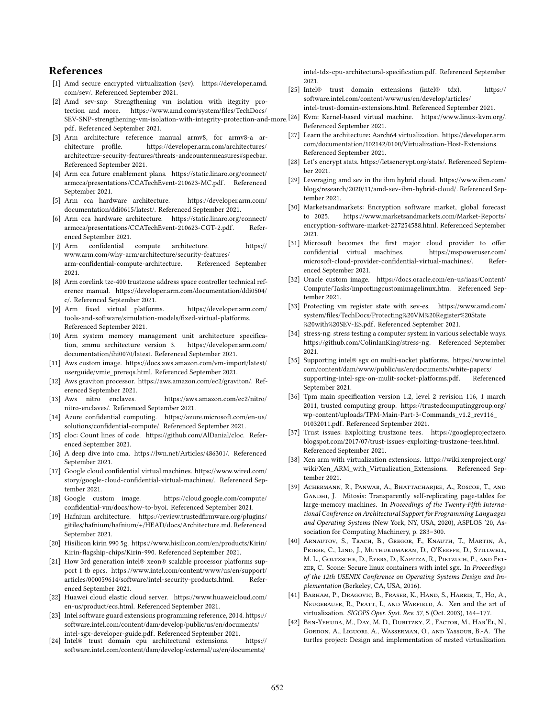# References

- <span id="page-14-4"></span>[1] Amd secure encrypted virtualization (sev). [https://developer.amd.](https://developer.amd.com/sev/) [com/sev/.](https://developer.amd.com/sev/) Referenced September 2021.
- <span id="page-14-5"></span>[2] Amd sev-snp: Strengthening vm isolation with itegrity protection and more. [https://www.amd.com/system/files/TechDocs/](https://www.amd.com/system/files/TechDocs/SEV-SNP-strengthening-vm-isolation-with-integrity-protection-and-more.pdf) [pdf.](https://www.amd.com/system/files/TechDocs/SEV-SNP-strengthening-vm-isolation-with-integrity-protection-and-more.pdf) Referenced September 2021.
- <span id="page-14-27"></span>[3] Arm architecture reference manual armv8, for armv8-a architecture profile. [https://developer.arm.com/architectures/](https://developer.arm.com/architectures/architecture-security-features/threats-andcountermeasures#specbar) [architecture-security-features/threats-andcountermeasures#specbar.](https://developer.arm.com/architectures/architecture-security-features/threats-andcountermeasures#specbar) Referenced September 2021.
- <span id="page-14-11"></span>[4] Arm cca future enablement plans. [https://static.linaro.org/connect/](https://static.linaro.org/connect/armcca/presentations/CCATechEvent-210623-MC.pdf) [armcca/presentations/CCATechEvent-210623-MC.pdf.](https://static.linaro.org/connect/armcca/presentations/CCATechEvent-210623-MC.pdf) Referenced September 2021.
- <span id="page-14-23"></span>[5] Arm cca hardware architecture. [https://developer.arm.com/](https://developer.arm.com/documentation/ddi0615/latest/) [documentation/ddi0615/latest/.](https://developer.arm.com/documentation/ddi0615/latest/) Referenced September 2021.
- <span id="page-14-24"></span>[6] Arm cca hardware architecture. [https://static.linaro.org/connect/](https://static.linaro.org/connect/armcca/presentations/CCATechEvent-210623-CGT-2.pdf) [armcca/presentations/CCATechEvent-210623-CGT-2.pdf.](https://static.linaro.org/connect/armcca/presentations/CCATechEvent-210623-CGT-2.pdf) Referenced September 2021.
- <span id="page-14-10"></span>[7] Arm confidential compute architecture. [https://](https://www.arm.com/why-arm/architecture/security-features/arm-confidential-compute-architecture) [www.arm.com/why-arm/architecture/security-features/](https://www.arm.com/why-arm/architecture/security-features/arm-confidential-compute-architecture) [arm-confidential-compute-architecture.](https://www.arm.com/why-arm/architecture/security-features/arm-confidential-compute-architecture) Referenced September 2021.
- <span id="page-14-22"></span>[8] Arm corelink tzc-400 trustzone address space controller technical reference manual. [https://developer.arm.com/documentation/ddi0504/](https://developer.arm.com/documentation/ddi0504/c/) [c/.](https://developer.arm.com/documentation/ddi0504/c/) Referenced September 2021.
- <span id="page-14-39"></span><span id="page-14-34"></span>[9] Arm fixed virtual platforms. [https://developer.arm.com/](https://developer.arm.com/tools-and-software/simulation-models/fixed-virtual-platforms) [tools-and-software/simulation-models/fixed-virtual-platforms.](https://developer.arm.com/tools-and-software/simulation-models/fixed-virtual-platforms) Referenced September 2021.
- <span id="page-14-38"></span>[10] Arm system memory management unit architecture specification, smmu architecture version 3. [https://developer.arm.com/](https://developer.arm.com/documentation/ihi0070/latest) [documentation/ihi0070/latest.](https://developer.arm.com/documentation/ihi0070/latest) Referenced September 2021.
- <span id="page-14-30"></span><span id="page-14-20"></span>[11] Aws custom image. [https://docs.aws.amazon.com/vm-import/latest/](https://docs.aws.amazon.com/vm-import/latest/userguide/vmie_prereqs.html) [userguide/vmie\\_prereqs.html.](https://docs.aws.amazon.com/vm-import/latest/userguide/vmie_prereqs.html) Referenced September 2021.
- <span id="page-14-8"></span>[12] Aws graviton processor. [https://aws.amazon.com/ec2/graviton/.](https://aws.amazon.com/ec2/graviton/) Referenced September 2021.
- <span id="page-14-28"></span><span id="page-14-16"></span>[13] Aws nitro enclaves. [https://aws.amazon.com/ec2/nitro/](https://aws.amazon.com/ec2/nitro/nitro-enclaves/) [nitro-enclaves/.](https://aws.amazon.com/ec2/nitro/nitro-enclaves/) Referenced September 2021.
- <span id="page-14-17"></span>[14] Azure confidential computing. [https://azure.microsoft.com/en-us/](https://azure.microsoft.com/en-us/solutions/confidential-compute/) [solutions/confidential-compute/.](https://azure.microsoft.com/en-us/solutions/confidential-compute/) Referenced September 2021.
- <span id="page-14-37"></span><span id="page-14-12"></span>[15] cloc: Count lines of code. [https://github.com/AlDanial/cloc.](https://github.com/AlDanial/cloc) Referenced September 2021.
- <span id="page-14-33"></span><span id="page-14-14"></span>[16] A deep dive into cma. [https://lwn.net/Articles/486301/.](https://lwn.net/Articles/486301/) Referenced September 2021.
- <span id="page-14-1"></span>[17] Google cloud confidential virtual machines. [https://www.wired.com/](https://www.wired.com/story/google-cloud-confidential-virtual-machines/) [story/google-cloud-confidential-virtual-machines/.](https://www.wired.com/story/google-cloud-confidential-virtual-machines/) Referenced September 2021.
- <span id="page-14-40"></span><span id="page-14-31"></span>[18] Google custom image. [https://cloud.google.com/compute/](https://cloud.google.com/compute/confidential-vm/docs/how-to-byoi) [confidential-vm/docs/how-to-byoi.](https://cloud.google.com/compute/confidential-vm/docs/how-to-byoi) Referenced September 2021.
- <span id="page-14-41"></span>[19] Hafnium architecture. [https://review.trustedfirmware.org/plugins/](https://review.trustedfirmware.org/plugins/gitiles/hafnium/hafnium/+/HEAD/docs/Architecture.md) [gitiles/hafnium/hafnium/+/HEAD/docs/Architecture.md.](https://review.trustedfirmware.org/plugins/gitiles/hafnium/hafnium/+/HEAD/docs/Architecture.md) Referenced September 2021.
- <span id="page-14-35"></span><span id="page-14-0"></span>[20] Hisilicon kirin 990 5g. [https://www.hisilicon.com/en/products/Kirin/](https://www.hisilicon.com/en/products/Kirin/Kirin-flagship-chips/Kirin-990) [Kirin-flagship-chips/Kirin-990.](https://www.hisilicon.com/en/products/Kirin/Kirin-flagship-chips/Kirin-990) Referenced September 2021.
- <span id="page-14-19"></span>[21] How 3rd generation intel® xeon® scalable processor platforms support 1 tb epcs. [https://www.intel.com/content/www/us/en/support/](https://www.intel.com/content/www/us/en/support/articles/000059614/software/intel-security-products.html) [articles/000059614/software/intel-security-products.html.](https://www.intel.com/content/www/us/en/support/articles/000059614/software/intel-security-products.html) Referenced September 2021.
- <span id="page-14-15"></span><span id="page-14-9"></span>[22] Huawei cloud elastic cloud server. [https://www.huaweicloud.com/](https://www.huaweicloud.com/en-us/product/ecs.html) [en-us/product/ecs.html.](https://www.huaweicloud.com/en-us/product/ecs.html) Referenced September 2021.
- <span id="page-14-29"></span><span id="page-14-18"></span>[23] Intel software guard extensions programming reference, 2014. [https://](https://software.intel.com/content/dam/develop/public/us/en/documents/intel-sgx-developer-guide.pdf) [software.intel.com/content/dam/develop/public/us/en/documents/](https://software.intel.com/content/dam/develop/public/us/en/documents/intel-sgx-developer-guide.pdf) [intel-sgx-developer-guide.pdf.](https://software.intel.com/content/dam/develop/public/us/en/documents/intel-sgx-developer-guide.pdf) Referenced September 2021.
- <span id="page-14-6"></span>[24] Intel® trust domain cpu architectural extensions. [https://](https://software.intel.com/content/dam/develop/external/us/en/documents/intel-tdx-cpu-architectural-specification.pdf) [software.intel.com/content/dam/develop/external/us/en/documents/](https://software.intel.com/content/dam/develop/external/us/en/documents/intel-tdx-cpu-architectural-specification.pdf)

[intel-tdx-cpu-architectural-specification.pdf.](https://software.intel.com/content/dam/develop/external/us/en/documents/intel-tdx-cpu-architectural-specification.pdf) Referenced September 2021.

- <span id="page-14-36"></span><span id="page-14-32"></span><span id="page-14-26"></span><span id="page-14-25"></span><span id="page-14-21"></span><span id="page-14-13"></span><span id="page-14-7"></span><span id="page-14-3"></span><span id="page-14-2"></span>[25] Intel® trust domain extensions (intel® tdx). [https://](https://software.intel.com/content/www/us/en/develop/articles/intel-trust-domain-extensions.html) [software.intel.com/content/www/us/en/develop/articles/](https://software.intel.com/content/www/us/en/develop/articles/intel-trust-domain-extensions.html) [intel-trust-domain-extensions.html.](https://software.intel.com/content/www/us/en/develop/articles/intel-trust-domain-extensions.html) Referenced September 2021.
- [SEV-SNP-strengthening-vm-isolation-with-integrity-protection-and-more.](https://www.amd.com/system/files/TechDocs/SEV-SNP-strengthening-vm-isolation-with-integrity-protection-and-more.pdf) [26] Kvm: Kernel-based virtual machine. [https://www.linux-kvm.org/.](https://www.linux-kvm.org/) Referenced September 2021.
	- [27] Learn the architecture: Aarch64 virtualization. [https://developer.arm.](https://developer.arm.com/documentation/102142/0100/Virtualization-Host-Extensions) [com/documentation/102142/0100/Virtualization-Host-Extensions.](https://developer.arm.com/documentation/102142/0100/Virtualization-Host-Extensions) Referenced September 2021.
	- [28] Let's encrypt stats. [https://letsencrypt.org/stats/.](https://letsencrypt.org/stats/) Referenced September 2021.
	- [29] Leveraging amd sev in the ibm hybrid cloud. [https://www.ibm.com/](https://www.ibm.com/blogs/research/2020/11/amd-sev-ibm-hybrid-cloud/) [blogs/research/2020/11/amd-sev-ibm-hybrid-cloud/.](https://www.ibm.com/blogs/research/2020/11/amd-sev-ibm-hybrid-cloud/) Referenced September 2021.
	- [30] Marketsandmarkets: Encryption software market, global forecast to 2025. [https://www.marketsandmarkets.com/Market-Reports/](https://www.marketsandmarkets.com/Market-Reports/encryption-software-market-227254588.html) [encryption-software-market-227254588.html.](https://www.marketsandmarkets.com/Market-Reports/encryption-software-market-227254588.html) Referenced September 2021.
	- [31] Microsoft becomes the first major cloud provider to offer confidential virtual machines. [https://mspoweruser.com/](https://mspoweruser.com/microsoft-cloud-provider-confidential-virtual-machines/) [microsoft-cloud-provider-confidential-virtual-machines/.](https://mspoweruser.com/microsoft-cloud-provider-confidential-virtual-machines/) Referenced September 2021.
	- [32] Oracle custom image. [https://docs.oracle.com/en-us/iaas/Content/](https://docs.oracle.com/en-us/iaas/Content/Compute/Tasks/importingcustomimagelinux.htm) [Compute/Tasks/importingcustomimagelinux.htm.](https://docs.oracle.com/en-us/iaas/Content/Compute/Tasks/importingcustomimagelinux.htm) Referenced September 2021.
	- [33] Protecting vm register state with sev-es. [https://www.amd.com/](https://www.amd.com/system/files/TechDocs/Protecting%20VM%20Register%20State%20with%20SEV-ES.pdf) [system/files/TechDocs/Protecting%20VM%20Register%20State](https://www.amd.com/system/files/TechDocs/Protecting%20VM%20Register%20State%20with%20SEV-ES.pdf) [%20with%20SEV-ES.pdf.](https://www.amd.com/system/files/TechDocs/Protecting%20VM%20Register%20State%20with%20SEV-ES.pdf) Referenced September 2021.
	- [34] stress-ng: stress testing a computer system in various selectable ways. [https://github.com/ColinIanKing/stress-ng.](https://github.com/ColinIanKing/stress-ng) Referenced September 2021.
	- [35] Supporting intel® sgx on multi-socket platforms. [https://www.intel.](https://www.intel.com/content/dam/www/public/us/en/documents/white-papers/supporting-intel-sgx-on-mulit-socket-platforms.pdf) [com/content/dam/www/public/us/en/documents/white-papers/](https://www.intel.com/content/dam/www/public/us/en/documents/white-papers/supporting-intel-sgx-on-mulit-socket-platforms.pdf) [supporting-intel-sgx-on-mulit-socket-platforms.pdf.](https://www.intel.com/content/dam/www/public/us/en/documents/white-papers/supporting-intel-sgx-on-mulit-socket-platforms.pdf) Referenced September 2021.
	- [36] Tpm main specification version 1.2, level 2 revision 116, 1 march 2011, trusted computing group. [https://trustedcomputinggroup.org/](https://trustedcomputinggroup.org/wp-content/uploads/TPM-Main-Part-3-Commands_v1.2_rev116_01032011.pdf) [wp-content/uploads/TPM-Main-Part-3-Commands\\_v1.2\\_rev116\\_](https://trustedcomputinggroup.org/wp-content/uploads/TPM-Main-Part-3-Commands_v1.2_rev116_01032011.pdf) [01032011.pdf.](https://trustedcomputinggroup.org/wp-content/uploads/TPM-Main-Part-3-Commands_v1.2_rev116_01032011.pdf) Referenced September 2021.
	- [37] Trust issues: Exploiting trustzone tees. [https://googleprojectzero.](https://googleprojectzero.blogspot.com/2017/07/trust-issues-exploiting-trustzone-tees.html) [blogspot.com/2017/07/trust-issues-exploiting-trustzone-tees.html.](https://googleprojectzero.blogspot.com/2017/07/trust-issues-exploiting-trustzone-tees.html) Referenced September 2021.
	- [38] Xen arm with virtualization extensions. [https://wiki.xenproject.org/](https://wiki.xenproject.org/wiki/Xen_ARM_with_Virtualization_Extensions) [wiki/Xen\\_ARM\\_with\\_Virtualization\\_Extensions.](https://wiki.xenproject.org/wiki/Xen_ARM_with_Virtualization_Extensions) Referenced September 2021.
	- [39] Achermann, R., Panwar, A., Bhattacharjee, A., Roscoe, T., and GANDHI, J. Mitosis: Transparently self-replicating page-tables for large-memory machines. In Proceedings of the Twenty-Fifth International Conference on Architectural Support for Programming Languages and Operating Systems (New York, NY, USA, 2020), ASPLOS '20, Association for Computing Machinery, p. 283–300.
	- [40] ARNAUTOV, S., TRACH, B., GREGOR, F., KNAUTH, T., MARTIN, A., PRIEBE, C., LIND, J., MUTHUKUMARAN, D., O'KEEFFE, D., STILLWELL, M. L., Goltzsche, D., Eyers, D., Kapitza, R., Pietzuch, P., and Fetzer, C. Scone: Secure linux containers with intel sgx. In Proceedings of the 12th USENIX Conference on Operating Systems Design and Implementation (Berkeley, CA, USA, 2016).
	- [41] Barham, P., Dragovic, B., Fraser, K., Hand, S., Harris, T., Ho, A., Neugebauer, R., Pratt, I., and Warfield, A. Xen and the art of virtualization. SIGOPS Oper. Syst. Rev. 37, 5 (Oct. 2003), 164–177.
	- [42] BEN-YEHUDA, M., DAY, M. D., DUBITZKY, Z., FACTOR, M., HAR'EL, N., Gordon, A., Liguori, A., Wasserman, O., and Yassour, B.-A. The turtles project: Design and implementation of nested virtualization.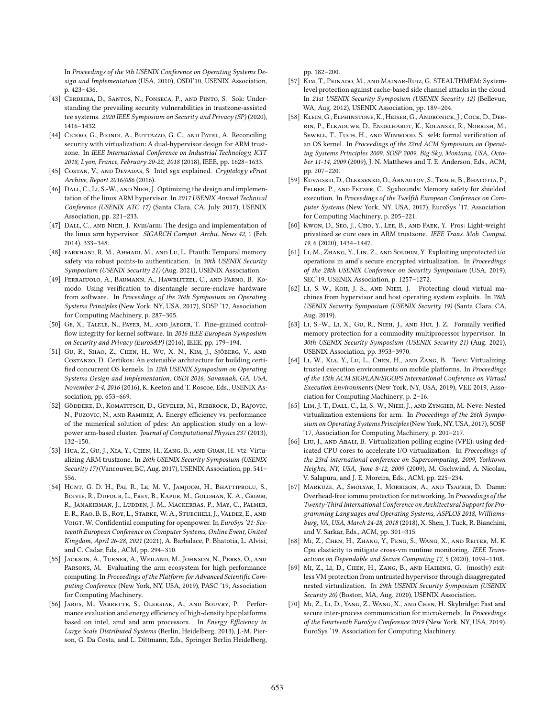In Proceedings of the 9th USENIX Conference on Operating Systems Design and Implementation (USA, 2010), OSDI'10, USENIX Association, p. 423–436.

- <span id="page-15-5"></span>[43] Cerdeira, D., Santos, N., Fonseca, P., and Pinto, S. Sok: Understanding the prevailing security vulnerabilities in trustzone-assisted tee systems. 2020 IEEE Symposium on Security and Privacy (SP) (2020), 1416–1432.
- <span id="page-15-25"></span>[44] Cicero, G., Biondi, A., Buttazzo, G. C., and Patel, A. Reconciling security with virtualization: A dual-hypervisor design for ARM trustzone. In IEEE International Conference on Industrial Technology, ICIT 2018, Lyon, France, February 20-22, 2018 (2018), IEEE, pp. 1628–1633.
- <span id="page-15-0"></span>[45] COSTAN, V., AND DEVADAS, S. Intel sgx explained. Cryptology ePrint Archive, Report 2016/086 (2016).
- <span id="page-15-8"></span>[46] DALL, C., LI, S.-W., AND NIEH, J. Optimizing the design and implementation of the linux ARM hypervisor. In 2017 USENIX Annual Technical Conference (USENIX ATC 17) (Santa Clara, CA, July 2017), USENIX Association, pp. 221–233.
- <span id="page-15-9"></span>[47] DALL, C., AND NIEH, J. Kvm/arm: The design and implementation of the linux arm hypervisor. SIGARCH Comput. Archit. News 42, 1 (Feb. 2014), 333–348.
- <span id="page-15-19"></span>[48] FARKHANI, R. M., AHMADI, M., AND LU, L. Ptauth: Temporal memory safety via robust points-to authentication. In 30th USENIX Security Symposium (USENIX Security 21) (Aug. 2021), USENIX Association.
- <span id="page-15-12"></span>[49] Ferraiuolo, A., Baumann, A., Hawblitzel, C., and Parno, B. Komodo: Using verification to disentangle secure-enclave hardware from software. In Proceedings of the 26th Symposium on Operating Systems Principles (New York, NY, USA, 2017), SOSP '17, Association for Computing Machinery, p. 287–305.
- <span id="page-15-18"></span>[50] Ge, X., Talele, N., Payer, M., and Jaeger, T. Fine-grained controlflow integrity for kernel software. In 2016 IEEE European Symposium on Security and Privacy (EuroS&P) (2016), IEEE, pp. 179–194.
- <span id="page-15-21"></span>[51] Gu, R., Shao, Z., Chen, H., Wu, X. N., Kim, J., Sjöberg, V., and Costanzo, D. Certikos: An extensible architecture for building certified concurrent OS kernels. In 12th USENIX Symposium on Operating Systems Design and Implementation, OSDI 2016, Savannah, GA, USA, November 2-4, 2016 (2016), K. Keeton and T. Roscoe, Eds., USENIX Association, pp. 653–669.
- <span id="page-15-2"></span>[52] Göddeke, D., Komatitsch, D., Geveler, M., Ribbrock, D., Rajovic, N., Puzovic, N., and Ramirez, A. Energy efficiency vs. performance of the numerical solution of pdes: An application study on a lowpower arm-based cluster. Journal of Computational Physics 237 (2013), 132–150.
- <span id="page-15-10"></span>[53] Hua, Z., Gu, J., Xia, Y., Chen, H., Zang, B., and Guan, H. vtz: Virtualizing ARM trustzone. In 26th USENIX Security Symposium (USENIX Security 17) (Vancouver, BC, Aug. 2017), USENIX Association, pp. 541– 556.
- <span id="page-15-1"></span>[54] HUNT, G. D. H., PAI, R., LE, M. V., JAMJOOM, H., BHATTIPROLU, S., Boivie, R., Dufour, L., Frey, B., Kapur, M., Goldman, K. A., Grimm, R., Janakirman, J., Ludden, J. M., Mackerras, P., May, C., Palmer, E. R., Rao, B. B., Roy, L., Starke, W. A., Stuecheli, J., Valdez, E., and VOIGT, W. Confidential computing for openpower. In EuroSys '21: Sixteenth European Conference on Computer Systems, Online Event, United Kingdom, April 26-28, 2021 (2021), A. Barbalace, P. Bhatotia, L. Alvisi, and C. Cadar, Eds., ACM, pp. 294–310.
- <span id="page-15-3"></span>[55] Jackson, A., Turner, A., Weiland, M., Johnson, N., Perks, O., and Parsons, M. Evaluating the arm ecosystem for high performance computing. In Proceedings of the Platform for Advanced Scientific Computing Conference (New York, NY, USA, 2019), PASC '19, Association for Computing Machinery.
- <span id="page-15-4"></span>[56] Jarus, M., Varrette, S., Oleksiak, A., and Bouvry, P. Performance evaluation and energy efficiency of high-density hpc platforms based on intel, amd and arm processors. In Energy Efficiency in Large Scale Distributed Systems (Berlin, Heidelberg, 2013), J.-M. Pierson, G. Da Costa, and L. Dittmann, Eds., Springer Berlin Heidelberg,

pp. 182–200.

- <span id="page-15-13"></span>[57] Kim, T., Peinado, M., and Mainar-Ruiz, G. STEALTHMEM: Systemlevel protection against cache-based side channel attacks in the cloud. In 21st USENIX Security Symposium (USENIX Security 12) (Bellevue, WA, Aug. 2012), USENIX Association, pp. 189–204.
- <span id="page-15-22"></span>[58] Klein, G., Elphinstone, K., Heiser, G., Andronick, J., Cock, D., Derrin, P., Elkaduwe, D., Engelhardt, K., Kolanski, R., Norrish, M., SEWELL, T., TUCH, H., AND WINWOOD, S. sel4: formal verification of an OS kernel. In Proceedings of the 22nd ACM Symposium on Operating Systems Principles 2009, SOSP 2009, Big Sky, Montana, USA, October 11-14, 2009 (2009), J. N. Matthews and T. E. Anderson, Eds., ACM, pp. 207–220.
- <span id="page-15-11"></span>[59] Kuvaiskii, D., Oleksenko, O., Arnautov, S., Trach, B., Bhatotia, P., Felber, P., and Fetzer, C. Sgxbounds: Memory safety for shielded execution. In Proceedings of the Twelfth European Conference on Computer Systems (New York, NY, USA, 2017), EuroSys '17, Association for Computing Machinery, p. 205–221.
- <span id="page-15-26"></span>[60] Kwon, D., Seo, J., Cho, Y., Lee, B., AND PAEK, Y. Pros: Light-weight privatized se cure oses in ARM trustzone. IEEE Trans. Mob. Comput. 19, 6 (2020), 1434–1447.
- <span id="page-15-6"></span>[61] LI, M., ZHANG, Y., LIN, Z., AND SOLIHIN, Y. Exploiting unprotected i/o operations in amd's secure encrypted virtualization. In Proceedings of the 28th USENIX Conference on Security Symposium (USA, 2019), SEC'19, USENIX Association, p. 1257–1272.
- <span id="page-15-24"></span>[62] LI, S.-W., KOH, J. S., AND NIEH, J. Protecting cloud virtual machines from hypervisor and host operating system exploits. In 28th USENIX Security Symposium (USENIX Security 19) (Santa Clara, CA, Aug. 2019).
- <span id="page-15-20"></span>[63] Li, S.-W., Li, X., Gu, R., Nieh, J., and Hui, J. Z. Formally verified memory protection for a commodity multiprocessor hypervisor. In 30th USENIX Security Symposium (USENIX Security 21) (Aug. 2021), USENIX Association, pp. 3953–3970.
- <span id="page-15-27"></span>[64] Li, W., Xia, Y., Lu, L., Chen, H., and Zang, B. Teev: Virtualizing trusted execution environments on mobile platforms. In Proceedings of the 15th ACM SIGPLAN/SIGOPS International Conference on Virtual Execution Environments (New York, NY, USA, 2019), VEE 2019, Association for Computing Machinery, p. 2–16.
- <span id="page-15-15"></span>[65] Lim, J. T., Dall, C., Li, S.-W., Nieh, J., and Zyngier, M. Neve: Nested virtualization extensions for arm. In Proceedings of the 26th Symposium on Operating Systems Principles (New York, NY, USA, 2017), SOSP '17, Association for Computing Machinery, p. 201–217.
- <span id="page-15-17"></span>[66] LIU, J., AND ABALI, B. Virtualization polling engine (VPE): using dedicated CPU cores to accelerate I/O virtualization. In Proceedings of the 23rd international conference on Supercomputing, 2009, Yorktown Heights, NY, USA, June 8-12, 2009 (2009), M. Gschwind, A. Nicolau, V. Salapura, and J. E. Moreira, Eds., ACM, pp. 225–234.
- <span id="page-15-23"></span>[67] Markuze, A., Smolyar, I., Morrison, A., and Tsafrir, D. Damn: Overhead-free iommu protection for networking. In Proceedings of the Twenty-Third International Conference on Architectural Support for Programming Languages and Operating Systems, ASPLOS 2018, Williamsburg, VA, USA, March 24-28, 2018 (2018), X. Shen, J. Tuck, R. Bianchini, and V. Sarkar, Eds., ACM, pp. 301–315.
- <span id="page-15-14"></span>[68] Mi, Z., Chen, H., Zhang, Y., Peng, S., Wang, X., and Reiter, M. K. Cpu elasticity to mitigate cross-vm runtime monitoring. IEEE Transactions on Dependable and Secure Computing 17, 5 (2020), 1094–1108.
- <span id="page-15-7"></span>[69] MI, Z., LI, D., CHEN, H., ZANG, B., AND HAIBING, G. (mostly) exitless VM protection from untrusted hypervisor through disaggregated nested virtualization. In 29th USENIX Security Symposium (USENIX Security 20) (Boston, MA, Aug. 2020), USENIX Association.
- <span id="page-15-16"></span>[70] Mi, Z., Li, D., Yang, Z., Wang, X., and Chen, H. Skybridge: Fast and secure inter-process communication for microkernels. In Proceedings of the Fourteenth EuroSys Conference 2019 (New York, NY, USA, 2019), EuroSys '19, Association for Computing Machinery.